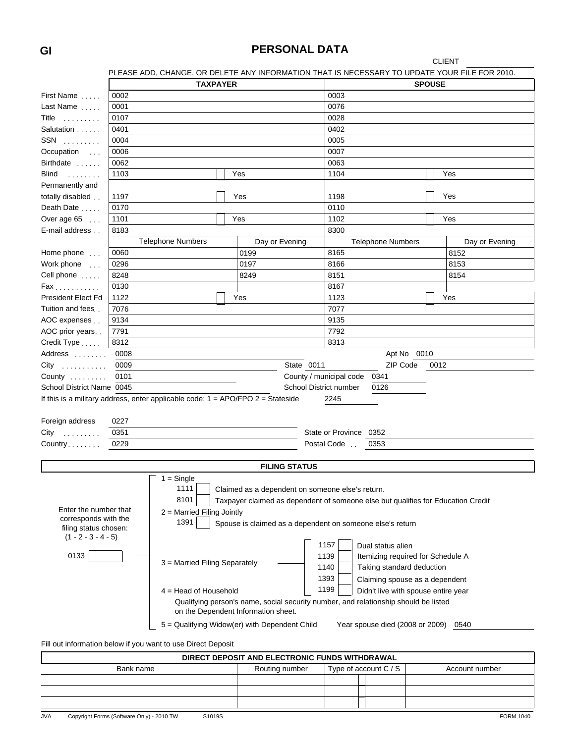### **GI PERSONAL DATA**

CLIENT

| PLEASE ADD. CHANGE. OR DELETE ANY INFORMATION THAT IS NECESSARY TO UPDATE YOUR FILE FOR 2010. |  |
|-----------------------------------------------------------------------------------------------|--|
|                                                                                               |  |
|                                                                                               |  |

|                           |      | PLEASE ADD, CHANGE, OR DELETE ANY INFORMATION THAT IS NECESSARY TO UPDATE YOUR FILE FOR 2010. |                      |                                                                                     |                                      |                |
|---------------------------|------|-----------------------------------------------------------------------------------------------|----------------------|-------------------------------------------------------------------------------------|--------------------------------------|----------------|
|                           |      | <b>TAXPAYER</b>                                                                               |                      |                                                                                     | <b>SPOUSE</b>                        |                |
| First Name                | 0002 |                                                                                               |                      | 0003                                                                                |                                      |                |
| Last Name                 | 0001 |                                                                                               |                      | 0076                                                                                |                                      |                |
| Title                     | 0107 |                                                                                               |                      | 0028                                                                                |                                      |                |
| Salutation                | 0401 |                                                                                               |                      | 0402                                                                                |                                      |                |
| $SSN$                     | 0004 |                                                                                               |                      | 0005                                                                                |                                      |                |
| Occupation                | 0006 |                                                                                               |                      | 0007                                                                                |                                      |                |
| Birthdate                 | 0062 |                                                                                               |                      | 0063                                                                                |                                      |                |
| Blind<br>1.1.1.1.1.1.1    | 1103 |                                                                                               | Yes                  | 1104                                                                                |                                      | Yes            |
| Permanently and           |      |                                                                                               |                      |                                                                                     |                                      |                |
| totally disabled          | 1197 |                                                                                               | Yes                  | 1198                                                                                |                                      | Yes            |
| Death Date                | 0170 |                                                                                               |                      | 0110                                                                                |                                      |                |
| Over age $65$             | 1101 |                                                                                               | Yes                  | 1102                                                                                |                                      | Yes            |
| E-mail address            | 8183 |                                                                                               |                      | 8300                                                                                |                                      |                |
|                           |      | <b>Telephone Numbers</b>                                                                      | Day or Evening       |                                                                                     | <b>Telephone Numbers</b>             | Day or Evening |
| Home phone                | 0060 |                                                                                               | 0199                 | 8165                                                                                |                                      | 8152           |
| Work phone                | 0296 |                                                                                               | 0197                 | 8166                                                                                |                                      | 8153           |
| Cell phone                | 8248 |                                                                                               | 8249                 | 8151                                                                                |                                      | 8154           |
| Fax                       | 0130 |                                                                                               |                      | 8167                                                                                |                                      |                |
| President Elect Fd        | 1122 |                                                                                               | Yes                  | 1123                                                                                |                                      | Yes            |
| Tuition and fees.         | 7076 |                                                                                               |                      | 7077                                                                                |                                      |                |
| AOC expenses              | 9134 |                                                                                               |                      | 9135                                                                                |                                      |                |
| AOC prior years           | 7791 |                                                                                               |                      | 7792                                                                                |                                      |                |
| Credit Type               | 8312 |                                                                                               |                      | 8313                                                                                |                                      |                |
| Address                   | 0008 |                                                                                               |                      |                                                                                     | Apt No 0010                          |                |
|                           | 0009 |                                                                                               |                      | State 0011                                                                          | ZIP Code<br>0012                     |                |
| $City$                    |      |                                                                                               |                      | County / municipal code                                                             | 0341                                 |                |
| County                    | 0101 |                                                                                               |                      |                                                                                     |                                      |                |
| School District Name 0045 |      |                                                                                               |                      | School District number                                                              | 0126                                 |                |
|                           |      | If this is a military address, enter applicable code: $1 = APO/FPO$ 2 = Stateside             |                      | 2245                                                                                |                                      |                |
|                           |      |                                                                                               |                      |                                                                                     |                                      |                |
| Foreign address           | 0227 |                                                                                               |                      |                                                                                     |                                      |                |
| $City$                    | 0351 |                                                                                               |                      | State or Province 0352                                                              |                                      |                |
| Country                   | 0229 |                                                                                               |                      | Postal Code<br>0353                                                                 |                                      |                |
|                           |      |                                                                                               |                      |                                                                                     |                                      |                |
|                           |      |                                                                                               | <b>FILING STATUS</b> |                                                                                     |                                      |                |
|                           |      | $1 =$ Single<br>1111                                                                          |                      |                                                                                     |                                      |                |
|                           |      |                                                                                               |                      | Claimed as a dependent on someone else's return.                                    |                                      |                |
| Enter the number that     |      | 8101                                                                                          |                      | Taxpayer claimed as dependent of someone else but qualifies for Education Credit    |                                      |                |
| corresponds with the      |      | $2$ = Married Filing Jointly                                                                  |                      |                                                                                     |                                      |                |
| filing status chosen:     |      | 1391                                                                                          |                      | Spouse is claimed as a dependent on someone else's return                           |                                      |                |
| $(1 - 2 - 3 - 4 - 5)$     |      |                                                                                               |                      |                                                                                     |                                      |                |
|                           |      |                                                                                               |                      | 1157                                                                                | Dual status alien                    |                |
| 0133                      |      | 3 = Married Filing Separately                                                                 |                      | 1139                                                                                | Itemizing required for Schedule A    |                |
|                           |      |                                                                                               |                      | 1140                                                                                | Taking standard deduction            |                |
|                           |      |                                                                                               |                      | 1393                                                                                | Claiming spouse as a dependent       |                |
|                           |      | $4 =$ Head of Household                                                                       |                      | 1199                                                                                | Didn't live with spouse entire year  |                |
|                           |      | on the Dependent Information sheet.                                                           |                      | Qualifying person's name, social security number, and relationship should be listed |                                      |                |
|                           |      | 5 = Qualifying Widow(er) with Dependent Child                                                 |                      |                                                                                     | Year spouse died (2008 or 2009) 0540 |                |
|                           |      | Fill out information below if you want to use Direct Deposit                                  |                      |                                                                                     |                                      |                |

| DIRECT DEPOSIT AND ELECTRONIC FUNDS WITHDRAWAL |                       |                |  |  |  |  |  |  |  |  |  |
|------------------------------------------------|-----------------------|----------------|--|--|--|--|--|--|--|--|--|
| Routing number                                 | Type of account C / S | Account number |  |  |  |  |  |  |  |  |  |
|                                                |                       |                |  |  |  |  |  |  |  |  |  |
|                                                |                       |                |  |  |  |  |  |  |  |  |  |
|                                                |                       |                |  |  |  |  |  |  |  |  |  |
|                                                |                       |                |  |  |  |  |  |  |  |  |  |

JVA Copyright Forms (Software Only) - 2010 TW S1019S STONE STONE STONE STONE STORM 1040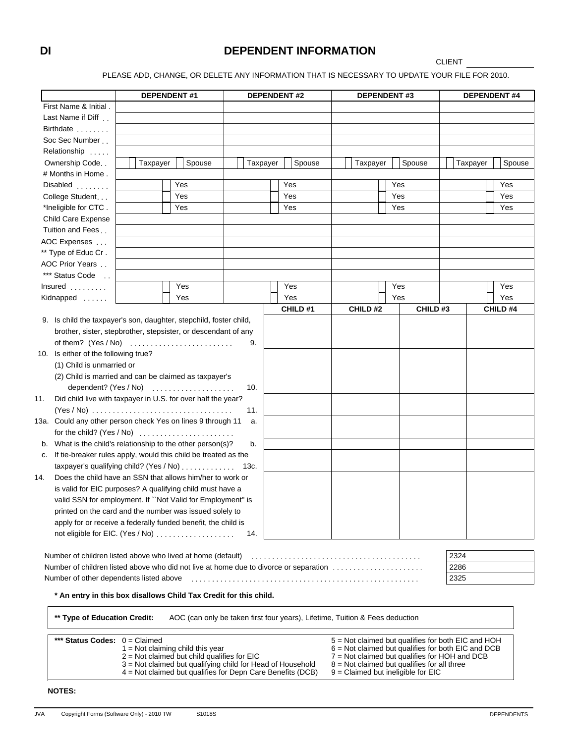### **DI DEPENDENT INFORMATION**

**CLIENT** 

PLEASE ADD, CHANGE, OR DELETE ANY INFORMATION THAT IS NECESSARY TO UPDATE YOUR FILE FOR 2010.

|                                                                                       | <b>DEPENDENT#1</b>                                                                                                       |  |                                                                              |  |          | <b>DEPENDENT#2</b> |  |          | <b>DEPENDENT#3</b> |                                                                                                            | <b>DEPENDENT#4</b> |         |  |          |  |          |
|---------------------------------------------------------------------------------------|--------------------------------------------------------------------------------------------------------------------------|--|------------------------------------------------------------------------------|--|----------|--------------------|--|----------|--------------------|------------------------------------------------------------------------------------------------------------|--------------------|---------|--|----------|--|----------|
| First Name & Initial.                                                                 |                                                                                                                          |  |                                                                              |  |          |                    |  |          |                    |                                                                                                            |                    |         |  |          |  |          |
| Last Name if Diff                                                                     |                                                                                                                          |  |                                                                              |  |          |                    |  |          |                    |                                                                                                            |                    |         |  |          |  |          |
| Birthdate                                                                             |                                                                                                                          |  |                                                                              |  |          |                    |  |          |                    |                                                                                                            |                    |         |  |          |  |          |
| Soc Sec Number                                                                        |                                                                                                                          |  |                                                                              |  |          |                    |  |          |                    |                                                                                                            |                    |         |  |          |  |          |
| Relationship                                                                          |                                                                                                                          |  |                                                                              |  |          |                    |  |          |                    |                                                                                                            |                    |         |  |          |  |          |
| Ownership Code                                                                        | Taxpayer                                                                                                                 |  | Spouse                                                                       |  | Taxpayer |                    |  | Spouse   |                    | Taxpayer                                                                                                   | Spouse             |         |  | Taxpayer |  | Spouse   |
| # Months in Home.                                                                     |                                                                                                                          |  |                                                                              |  |          |                    |  |          |                    |                                                                                                            |                    |         |  |          |  |          |
| Disabled                                                                              |                                                                                                                          |  | Yes                                                                          |  |          |                    |  | Yes      |                    |                                                                                                            | Yes                |         |  |          |  | Yes      |
| College Student                                                                       |                                                                                                                          |  | Yes                                                                          |  |          |                    |  | Yes      |                    |                                                                                                            | Yes                |         |  |          |  | Yes      |
| *Ineligible for CTC.                                                                  |                                                                                                                          |  | Yes                                                                          |  |          |                    |  | Yes      |                    |                                                                                                            | Yes                |         |  |          |  | Yes      |
| <b>Child Care Expense</b>                                                             |                                                                                                                          |  |                                                                              |  |          |                    |  |          |                    |                                                                                                            |                    |         |  |          |  |          |
| Tuition and Fees                                                                      |                                                                                                                          |  |                                                                              |  |          |                    |  |          |                    |                                                                                                            |                    |         |  |          |  |          |
| AOC Expenses                                                                          |                                                                                                                          |  |                                                                              |  |          |                    |  |          |                    |                                                                                                            |                    |         |  |          |  |          |
| ** Type of Educ Cr.                                                                   |                                                                                                                          |  |                                                                              |  |          |                    |  |          |                    |                                                                                                            |                    |         |  |          |  |          |
| AOC Prior Years                                                                       |                                                                                                                          |  |                                                                              |  |          |                    |  |          |                    |                                                                                                            |                    |         |  |          |  |          |
| *** Status Code                                                                       |                                                                                                                          |  |                                                                              |  |          |                    |  |          |                    |                                                                                                            |                    |         |  |          |  |          |
| $Insured$                                                                             |                                                                                                                          |  | Yes                                                                          |  |          |                    |  | Yes      |                    |                                                                                                            | Yes                |         |  |          |  | Yes      |
| Kidnapped                                                                             |                                                                                                                          |  | Yes                                                                          |  |          |                    |  | Yes      |                    |                                                                                                            | Yes                |         |  |          |  | Yes      |
|                                                                                       |                                                                                                                          |  |                                                                              |  |          |                    |  | CHILD #1 |                    | CHILD#2                                                                                                    |                    | CHILD#3 |  |          |  | CHILD #4 |
| 9. Is child the taxpayer's son, daughter, stepchild, foster child,                    |                                                                                                                          |  |                                                                              |  |          |                    |  |          |                    |                                                                                                            |                    |         |  |          |  |          |
| brother, sister, stepbrother, stepsister, or descendant of any                        |                                                                                                                          |  |                                                                              |  |          |                    |  |          |                    |                                                                                                            |                    |         |  |          |  |          |
|                                                                                       |                                                                                                                          |  |                                                                              |  | 9.       |                    |  |          |                    |                                                                                                            |                    |         |  |          |  |          |
| 10. Is either of the following true?                                                  |                                                                                                                          |  |                                                                              |  |          |                    |  |          |                    |                                                                                                            |                    |         |  |          |  |          |
| (1) Child is unmarried or                                                             |                                                                                                                          |  |                                                                              |  |          |                    |  |          |                    |                                                                                                            |                    |         |  |          |  |          |
| (2) Child is married and can be claimed as taxpayer's                                 |                                                                                                                          |  |                                                                              |  |          |                    |  |          |                    |                                                                                                            |                    |         |  |          |  |          |
|                                                                                       | dependent? (Yes / No)                                                                                                    |  |                                                                              |  | 10.      |                    |  |          |                    |                                                                                                            |                    |         |  |          |  |          |
| Did child live with taxpayer in U.S. for over half the year?<br>11.                   |                                                                                                                          |  |                                                                              |  |          |                    |  |          |                    |                                                                                                            |                    |         |  |          |  |          |
|                                                                                       |                                                                                                                          |  |                                                                              |  | 11.      |                    |  |          |                    |                                                                                                            |                    |         |  |          |  |          |
| 13a. Could any other person check Yes on lines 9 through 11                           |                                                                                                                          |  |                                                                              |  | a.       |                    |  |          |                    |                                                                                                            |                    |         |  |          |  |          |
| for the child? $(Yes / No)$                                                           |                                                                                                                          |  |                                                                              |  |          |                    |  |          |                    |                                                                                                            |                    |         |  |          |  |          |
| b. What is the child's relationship to the other person(s)?                           |                                                                                                                          |  |                                                                              |  | b.       |                    |  |          |                    |                                                                                                            |                    |         |  |          |  |          |
| c. If tie-breaker rules apply, would this child be treated as the                     |                                                                                                                          |  |                                                                              |  |          |                    |  |          |                    |                                                                                                            |                    |         |  |          |  |          |
| taxpayer's qualifying child? (Yes / No)                                               |                                                                                                                          |  |                                                                              |  | 13c.     |                    |  |          |                    |                                                                                                            |                    |         |  |          |  |          |
| Does the child have an SSN that allows him/her to work or<br>14.                      |                                                                                                                          |  |                                                                              |  |          |                    |  |          |                    |                                                                                                            |                    |         |  |          |  |          |
| is valid for EIC purposes? A qualifying child must have a                             |                                                                                                                          |  |                                                                              |  |          |                    |  |          |                    |                                                                                                            |                    |         |  |          |  |          |
| valid SSN for employment. If "Not Valid for Employment" is                            |                                                                                                                          |  |                                                                              |  |          |                    |  |          |                    |                                                                                                            |                    |         |  |          |  |          |
| printed on the card and the number was issued solely to                               |                                                                                                                          |  |                                                                              |  |          |                    |  |          |                    |                                                                                                            |                    |         |  |          |  |          |
| apply for or receive a federally funded benefit, the child is                         |                                                                                                                          |  |                                                                              |  |          |                    |  |          |                    |                                                                                                            |                    |         |  |          |  |          |
|                                                                                       |                                                                                                                          |  |                                                                              |  | 14.      |                    |  |          |                    |                                                                                                            |                    |         |  |          |  |          |
|                                                                                       |                                                                                                                          |  |                                                                              |  |          |                    |  |          |                    |                                                                                                            |                    |         |  |          |  |          |
| Number of children listed above who lived at home (default)                           |                                                                                                                          |  |                                                                              |  |          |                    |  |          |                    |                                                                                                            |                    |         |  | 2324     |  |          |
| Number of children listed above who did not live at home due to divorce or separation |                                                                                                                          |  |                                                                              |  |          |                    |  |          |                    |                                                                                                            |                    |         |  | 2286     |  |          |
| Number of other dependents listed above                                               |                                                                                                                          |  |                                                                              |  |          |                    |  |          |                    |                                                                                                            |                    |         |  | 2325     |  |          |
| * An entry in this box disallows Child Tax Credit for this child.                     |                                                                                                                          |  |                                                                              |  |          |                    |  |          |                    |                                                                                                            |                    |         |  |          |  |          |
| ** Type of Education Credit:                                                          |                                                                                                                          |  | AOC (can only be taken first four years), Lifetime, Tuition & Fees deduction |  |          |                    |  |          |                    |                                                                                                            |                    |         |  |          |  |          |
|                                                                                       |                                                                                                                          |  |                                                                              |  |          |                    |  |          |                    |                                                                                                            |                    |         |  |          |  |          |
| *** Status Codes: $0 =$ Claimed                                                       | $1 = Not claiming child this year$                                                                                       |  |                                                                              |  |          |                    |  |          |                    | 5 = Not claimed but qualifies for both EIC and HOH<br>$6$ = Not claimed but qualifies for both EIC and DCB |                    |         |  |          |  |          |
|                                                                                       | $2$ = Not claimed but child qualifies for EIC                                                                            |  |                                                                              |  |          |                    |  |          |                    | 7 = Not claimed but qualifies for HOH and DCB                                                              |                    |         |  |          |  |          |
|                                                                                       | 3 = Not claimed but qualifying child for Head of Household<br>4 = Not claimed but qualifies for Depn Care Benefits (DCB) |  |                                                                              |  |          |                    |  |          |                    | $8 =$ Not claimed but qualifies for all three<br>9 = Claimed but ineligible for EIC                        |                    |         |  |          |  |          |

#### JVA Copyright Forms (Software Only) - 2010 TW S1018S DEPENDENTS

**NOTES:**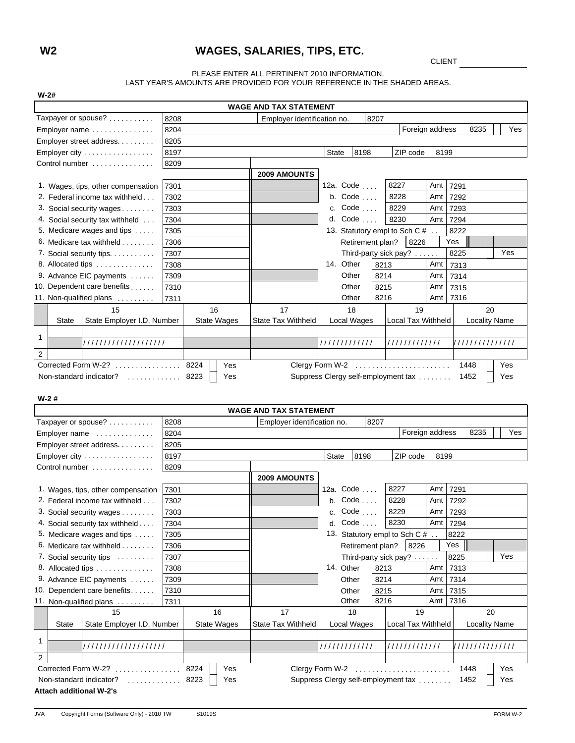### **W2 WAGES, SALARIES, TIPS, ETC.**

CLIENT

#### PLEASE ENTER ALL PERTINENT 2010 INFORMATION. LAST YEAR'S AMOUNTS ARE PROVIDED FOR YOUR REFERENCE IN THE SHADED AREAS.

| <b>WAGE AND TAX STATEMENT</b>                                                                     |      |                    |                                          |                                     |      |                               |                 |                      |     |  |  |  |  |
|---------------------------------------------------------------------------------------------------|------|--------------------|------------------------------------------|-------------------------------------|------|-------------------------------|-----------------|----------------------|-----|--|--|--|--|
| Taxpayer or spouse?                                                                               | 8208 |                    | Employer identification no.              |                                     | 8207 |                               |                 |                      |     |  |  |  |  |
| Employer name                                                                                     | 8204 |                    |                                          |                                     |      |                               | Foreign address | 8235                 | Yes |  |  |  |  |
| Employer street address.                                                                          | 8205 |                    |                                          |                                     |      |                               |                 |                      |     |  |  |  |  |
| Employer city                                                                                     | 8197 |                    |                                          | 8198<br><b>State</b>                |      | ZIP code                      | 8199            |                      |     |  |  |  |  |
| Control number                                                                                    | 8209 |                    |                                          |                                     |      |                               |                 |                      |     |  |  |  |  |
|                                                                                                   |      |                    | 2009 AMOUNTS                             |                                     |      |                               |                 |                      |     |  |  |  |  |
| 1. Wages, tips, other compensation                                                                | 7301 |                    |                                          | 12a. Code                           |      | 8227                          | Amt             | 7291                 |     |  |  |  |  |
| 2. Federal income tax withheld                                                                    | 7302 |                    |                                          | b. $Code \ldots$ .                  |      | 8228                          | Amt             | 7292                 |     |  |  |  |  |
| 3. Social security wages                                                                          | 7303 |                    |                                          | c. Code                             |      | 8229                          | Amt 7293        |                      |     |  |  |  |  |
| 4. Social security tax withheld                                                                   | 7304 |                    |                                          | d. $Code \ldots$ .                  |      | 8230                          | Amt             | 7294                 |     |  |  |  |  |
| 5. Medicare wages and tips                                                                        | 7305 |                    |                                          | 13. Statutory empl to Sch C #       |      | 8222                          |                 |                      |     |  |  |  |  |
| 6. Medicare tax withheld                                                                          | 7306 |                    |                                          | Retirement plan?                    |      | 8226                          |                 | Yes                  |     |  |  |  |  |
| 7. Social security tips.                                                                          | 7307 |                    |                                          |                                     |      | Third-party sick pay?         |                 | 8225                 | Yes |  |  |  |  |
| 8. Allocated tips                                                                                 | 7308 |                    |                                          | 14. Other                           | 8213 |                               | Amt             | 7313                 |     |  |  |  |  |
| 9. Advance EIC payments                                                                           | 7309 |                    |                                          | Other                               | 8214 |                               | Amt             | 7314                 |     |  |  |  |  |
| 10. Dependent care benefits                                                                       | 7310 |                    |                                          | Other                               | 8215 |                               | Amt             | 7315                 |     |  |  |  |  |
| 11. Non-qualified plans                                                                           | 7311 |                    |                                          | Other                               | 8216 |                               | Amt             | 7316                 |     |  |  |  |  |
| 15                                                                                                |      | 16                 | 17                                       | 18                                  |      | 19                            |                 | 20                   |     |  |  |  |  |
| State Employer I.D. Number<br>State                                                               |      | <b>State Wages</b> | State Tax Withheld                       | Local Wages                         |      | Local Tax Withheld            |                 | <b>Locality Name</b> |     |  |  |  |  |
|                                                                                                   |      |                    |                                          |                                     |      |                               |                 |                      |     |  |  |  |  |
| 1<br>////////////////////                                                                         |      |                    |                                          | 1111111111111                       |      | /////////////                 |                 | ///////////////      |     |  |  |  |  |
| 2                                                                                                 |      |                    |                                          |                                     |      |                               |                 |                      |     |  |  |  |  |
| Corrected Form W-2?<br>Clergy Form W-2<br>Yes<br>8224<br>1448<br>Yes<br>.                         |      |                    |                                          |                                     |      |                               |                 |                      |     |  |  |  |  |
| Non-standard indicator?<br>Suppress Clergy self-employment tax<br>Yes<br>8223<br>Yes<br>1452<br>. |      |                    |                                          |                                     |      |                               |                 |                      |     |  |  |  |  |
|                                                                                                   |      |                    |                                          |                                     |      |                               |                 |                      |     |  |  |  |  |
| $W-2#$                                                                                            |      |                    |                                          |                                     |      |                               |                 |                      |     |  |  |  |  |
| <b>WAGE AND TAX STATEMENT</b>                                                                     |      |                    |                                          |                                     |      |                               |                 |                      |     |  |  |  |  |
| Taxpayer or spouse?                                                                               | 8208 |                    | Employer identification no.              |                                     | 8207 |                               |                 |                      |     |  |  |  |  |
| Employer name                                                                                     | 8204 |                    |                                          |                                     |      | Foreign address               |                 | 8235                 | Yes |  |  |  |  |
| Employer street address.                                                                          | 8205 |                    |                                          |                                     |      |                               |                 |                      |     |  |  |  |  |
| Employer city                                                                                     | 8197 |                    | <b>State</b><br>8198<br>ZIP code<br>8199 |                                     |      |                               |                 |                      |     |  |  |  |  |
| Control number                                                                                    | 8209 |                    |                                          |                                     |      |                               |                 |                      |     |  |  |  |  |
|                                                                                                   |      |                    | 2009 AMOUNTS                             |                                     |      |                               |                 |                      |     |  |  |  |  |
| 1. Wages, tips, other compensation                                                                | 7301 |                    |                                          | 12a. Code                           |      | 8227                          | Amt 7291        |                      |     |  |  |  |  |
| 2. Federal income tax withheld                                                                    | 7302 |                    |                                          | b. Code                             |      | 8228                          | Amt 7292        |                      |     |  |  |  |  |
| 3. Social security wages                                                                          | 7303 |                    |                                          | c. Code                             |      | 8229                          | Amt 7293        |                      |     |  |  |  |  |
| 4. Social security tax withheld                                                                   | 7304 |                    |                                          |                                     |      |                               |                 |                      |     |  |  |  |  |
| 5. Medicare wages and tips                                                                        |      |                    |                                          | d. $Code \ldots$ .                  |      | 8230                          | Amt 7294        |                      |     |  |  |  |  |
|                                                                                                   | 7305 |                    |                                          |                                     |      | 13. Statutory empl to Sch C # |                 | 8222                 |     |  |  |  |  |
| 6. Medicare tax withheld                                                                          | 7306 |                    |                                          | Retirement plan?                    |      | 8226                          |                 | Yes                  |     |  |  |  |  |
| 7. Social security tips                                                                           | 7307 |                    |                                          |                                     |      | Third-party sick pay?         |                 | 8225                 | Yes |  |  |  |  |
| 8. Allocated tips                                                                                 | 7308 |                    |                                          | 14. Other                           | 8213 |                               | Amt             | 7313                 |     |  |  |  |  |
| 9. Advance EIC payments                                                                           | 7309 |                    |                                          | Other                               | 8214 |                               | Amt             | 7314                 |     |  |  |  |  |
| 10. Dependent care benefits                                                                       | 7310 |                    |                                          | Other                               | 8215 |                               | Amt 7315        |                      |     |  |  |  |  |
|                                                                                                   | 7311 |                    |                                          | Other                               | 8216 |                               | Amt             | 7316                 |     |  |  |  |  |
| 11. Non-qualified plans<br>15                                                                     |      | 16                 | 17                                       | 18                                  |      | 19                            |                 | 20                   |     |  |  |  |  |
| State Employer I.D. Number<br>State                                                               |      | <b>State Wages</b> | State Tax Withheld                       | Local Wages                         |      | Local Tax Withheld            |                 | <b>Locality Name</b> |     |  |  |  |  |
|                                                                                                   |      |                    |                                          |                                     |      |                               |                 |                      |     |  |  |  |  |
| $\mathbf{1}$<br>////////////////////                                                              |      |                    |                                          | /////////////                       |      | /////////////                 |                 | '/////////////       |     |  |  |  |  |
| $\overline{2}$                                                                                    |      |                    |                                          |                                     |      |                               |                 |                      |     |  |  |  |  |
| Corrected Form W-2?<br>.                                                                          |      | Yes<br>8224        |                                          | Clergy Form W-2                     |      |                               |                 | 1448                 | Yes |  |  |  |  |
| Non-standard indicator?<br>.                                                                      |      | 8223<br>Yes        |                                          | Suppress Clergy self-employment tax |      |                               |                 | 1452                 | Yes |  |  |  |  |

**W-2#**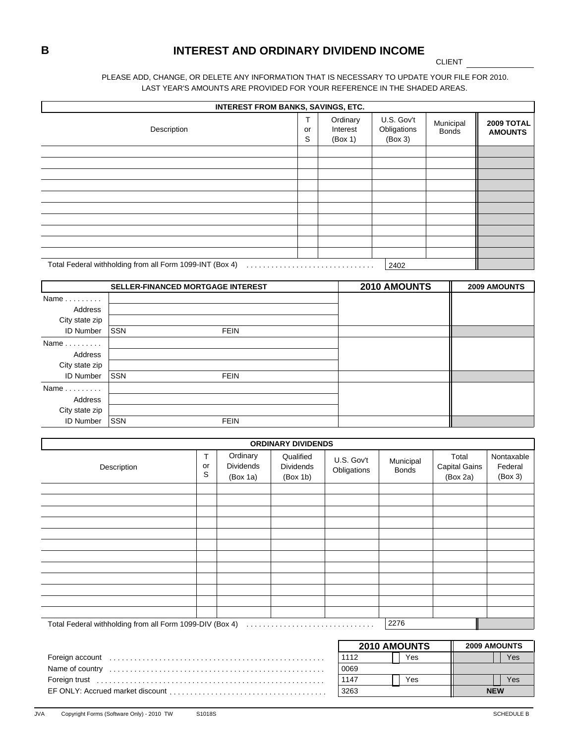### **B INTEREST AND ORDINARY DIVIDEND INCOME**

CLIENT

#### PLEASE ADD, CHANGE, OR DELETE ANY INFORMATION THAT IS NECESSARY TO UPDATE YOUR FILE FOR 2010. LAST YEAR'S AMOUNTS ARE PROVIDED FOR YOUR REFERENCE IN THE SHADED AREAS.

| <b>INTEREST FROM BANKS, SAVINGS, ETC.</b>                |              |                                 |                                      |                           |                              |
|----------------------------------------------------------|--------------|---------------------------------|--------------------------------------|---------------------------|------------------------------|
| Description                                              | Τ<br>or<br>S | Ordinary<br>Interest<br>(Box 1) | U.S. Gov't<br>Obligations<br>(Box 3) | Municipal<br><b>Bonds</b> | 2009 TOTAL<br><b>AMOUNTS</b> |
|                                                          |              |                                 |                                      |                           |                              |
|                                                          |              |                                 |                                      |                           |                              |
|                                                          |              |                                 |                                      |                           |                              |
|                                                          |              |                                 |                                      |                           |                              |
|                                                          |              |                                 |                                      |                           |                              |
|                                                          |              |                                 |                                      |                           |                              |
|                                                          |              |                                 |                                      |                           |                              |
|                                                          |              |                                 |                                      |                           |                              |
|                                                          |              |                                 |                                      |                           |                              |
|                                                          |              |                                 |                                      |                           |                              |
| Total Federal withholding from all Form 1099-INT (Box 4) |              |                                 | 2402                                 |                           |                              |

|                      |            | SELLER-FINANCED MORTGAGE INTEREST | 2010 AMOUNTS | 2009 AMOUNTS |
|----------------------|------------|-----------------------------------|--------------|--------------|
| Name $\ldots \ldots$ |            |                                   |              |              |
| Address              |            |                                   |              |              |
| City state zip       |            |                                   |              |              |
| <b>ID Number</b>     | <b>SSN</b> | <b>FEIN</b>                       |              |              |
| $Name \dots \dots$   |            |                                   |              |              |
| Address              |            |                                   |              |              |
| City state zip       |            |                                   |              |              |
| <b>ID Number</b>     | <b>SSN</b> | <b>FEIN</b>                       |              |              |
| $Name \dots \dots$   |            |                                   |              |              |
| Address              |            |                                   |              |              |
| City state zip       |            |                                   |              |              |
| <b>ID Number</b>     | <b>SSN</b> | <b>FEIN</b>                       |              |              |

|                 |              |                                          | <b>ORDINARY DIVIDENDS</b>                 |                           |                           |                                           |                                  |
|-----------------|--------------|------------------------------------------|-------------------------------------------|---------------------------|---------------------------|-------------------------------------------|----------------------------------|
| Description     | т<br>or<br>S | Ordinary<br><b>Dividends</b><br>(Box 1a) | Qualified<br><b>Dividends</b><br>(Box 1b) | U.S. Gov't<br>Obligations | Municipal<br><b>Bonds</b> | Total<br><b>Capital Gains</b><br>(Box 2a) | Nontaxable<br>Federal<br>(Box 3) |
|                 |              |                                          |                                           |                           |                           |                                           |                                  |
|                 |              |                                          |                                           |                           |                           |                                           |                                  |
|                 |              |                                          |                                           |                           |                           |                                           |                                  |
|                 |              |                                          |                                           |                           |                           |                                           |                                  |
|                 |              |                                          |                                           |                           |                           |                                           |                                  |
|                 |              |                                          |                                           |                           |                           |                                           |                                  |
|                 |              |                                          |                                           |                           |                           |                                           |                                  |
|                 |              |                                          |                                           |                           |                           |                                           |                                  |
|                 |              |                                          |                                           |                           |                           |                                           |                                  |
|                 |              |                                          |                                           |                           |                           |                                           |                                  |
|                 |              |                                          |                                           |                           |                           |                                           |                                  |
|                 |              |                                          |                                           |                           |                           |                                           |                                  |
|                 |              |                                          |                                           |                           | 2276                      |                                           |                                  |
|                 |              |                                          |                                           |                           |                           |                                           |                                  |
|                 |              |                                          |                                           |                           | 2010 AMOUNTS              |                                           | 2009 AMOUNTS                     |
| Foreign account |              |                                          |                                           | 1112                      | Yes                       |                                           | <b>Yes</b>                       |
|                 |              |                                          |                                           | 0069                      |                           |                                           |                                  |

Foreign trust 1147 Yes Yes . . . . . . . . . . . . . . . . . . . . . . . . . . . . . . . . . . . . . . . . . . . . . . . . . . . . . . .

EF ONLY: Accrued market discount 3263 . . . . . . . . . . . . . . . . . . . . . . . . . . . . . . . . . . . . . .

**NEW**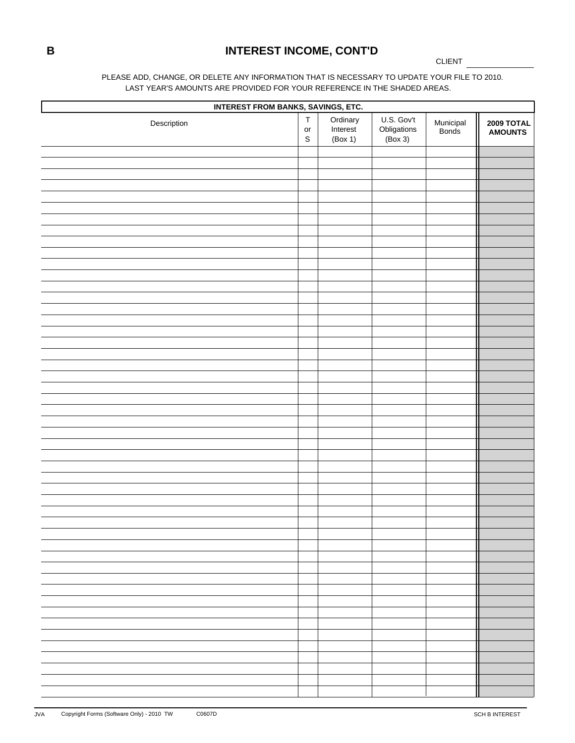# **B INTEREST INCOME, CONT'D**

CLIENT

#### PLEASE ADD, CHANGE, OR DELETE ANY INFORMATION THAT IS NECESSARY TO UPDATE YOUR FILE TO 2010. LAST YEAR'S AMOUNTS ARE PROVIDED FOR YOUR REFERENCE IN THE SHADED AREAS.

| <b>INTEREST FROM BANKS, SAVINGS, ETC.</b> |                                          |                                 |                                      |                    |                               |  |  |  |  |  |  |
|-------------------------------------------|------------------------------------------|---------------------------------|--------------------------------------|--------------------|-------------------------------|--|--|--|--|--|--|
| Description                               | $\top$<br>$\mathsf{or}\,$<br>$\mathsf S$ | Ordinary<br>Interest<br>(Box 1) | U.S. Gov't<br>Obligations<br>(Box 3) | Municipal<br>Bonds | <b>2009 TOTAL<br/>AMOUNTS</b> |  |  |  |  |  |  |
|                                           |                                          |                                 |                                      |                    |                               |  |  |  |  |  |  |
|                                           |                                          |                                 |                                      |                    |                               |  |  |  |  |  |  |
|                                           |                                          |                                 |                                      |                    |                               |  |  |  |  |  |  |
|                                           |                                          |                                 |                                      |                    |                               |  |  |  |  |  |  |
|                                           |                                          |                                 |                                      |                    |                               |  |  |  |  |  |  |
|                                           |                                          |                                 |                                      |                    |                               |  |  |  |  |  |  |
|                                           |                                          |                                 |                                      |                    |                               |  |  |  |  |  |  |
|                                           |                                          |                                 |                                      |                    |                               |  |  |  |  |  |  |
|                                           |                                          |                                 |                                      |                    |                               |  |  |  |  |  |  |
|                                           |                                          |                                 |                                      |                    |                               |  |  |  |  |  |  |
|                                           |                                          |                                 |                                      |                    |                               |  |  |  |  |  |  |
|                                           |                                          |                                 |                                      |                    |                               |  |  |  |  |  |  |
|                                           |                                          |                                 |                                      |                    |                               |  |  |  |  |  |  |
|                                           |                                          |                                 |                                      |                    |                               |  |  |  |  |  |  |
|                                           |                                          |                                 |                                      |                    |                               |  |  |  |  |  |  |
|                                           |                                          |                                 |                                      |                    |                               |  |  |  |  |  |  |
|                                           |                                          |                                 |                                      |                    |                               |  |  |  |  |  |  |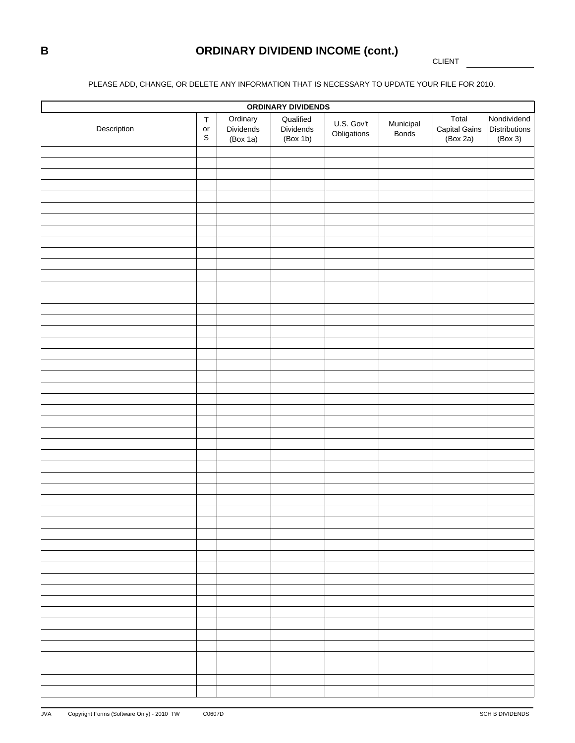# **B ORDINARY DIVIDEND INCOME (cont.)**

CLIENT

### PLEASE ADD, CHANGE, OR DELETE ANY INFORMATION THAT IS NECESSARY TO UPDATE YOUR FILE FOR 2010.

| ORDINARY DIVIDENDS |                                                 |                                   |                                    |                           |                           |                                    |                                                |  |  |  |  |  |
|--------------------|-------------------------------------------------|-----------------------------------|------------------------------------|---------------------------|---------------------------|------------------------------------|------------------------------------------------|--|--|--|--|--|
| Description        | $\top$<br>$\mathop{\mathsf{or}}$<br>$\mathbb S$ | Ordinary<br>Dividends<br>(Box 1a) | Qualified<br>Dividends<br>(Box 1b) | U.S. Gov't<br>Obligations | Municipal<br><b>Bonds</b> | Total<br>Capital Gains<br>(Box 2a) | Nondividend<br><b>Distributions</b><br>(Box 3) |  |  |  |  |  |
|                    |                                                 |                                   |                                    |                           |                           |                                    |                                                |  |  |  |  |  |
|                    |                                                 |                                   |                                    |                           |                           |                                    |                                                |  |  |  |  |  |
|                    |                                                 |                                   |                                    |                           |                           |                                    |                                                |  |  |  |  |  |
|                    |                                                 |                                   |                                    |                           |                           |                                    |                                                |  |  |  |  |  |
|                    |                                                 |                                   |                                    |                           |                           |                                    |                                                |  |  |  |  |  |
|                    |                                                 |                                   |                                    |                           |                           |                                    |                                                |  |  |  |  |  |
|                    |                                                 |                                   |                                    |                           |                           |                                    |                                                |  |  |  |  |  |
|                    |                                                 |                                   |                                    |                           |                           |                                    |                                                |  |  |  |  |  |
|                    |                                                 |                                   |                                    |                           |                           |                                    |                                                |  |  |  |  |  |
|                    |                                                 |                                   |                                    |                           |                           |                                    |                                                |  |  |  |  |  |
|                    |                                                 |                                   |                                    |                           |                           |                                    |                                                |  |  |  |  |  |
|                    |                                                 |                                   |                                    |                           |                           |                                    |                                                |  |  |  |  |  |
|                    |                                                 |                                   |                                    |                           |                           |                                    |                                                |  |  |  |  |  |
|                    |                                                 |                                   |                                    |                           |                           |                                    |                                                |  |  |  |  |  |
|                    |                                                 |                                   |                                    |                           |                           |                                    |                                                |  |  |  |  |  |
|                    |                                                 |                                   |                                    |                           |                           |                                    |                                                |  |  |  |  |  |
|                    |                                                 |                                   |                                    |                           |                           |                                    |                                                |  |  |  |  |  |
|                    |                                                 |                                   |                                    |                           |                           |                                    |                                                |  |  |  |  |  |
|                    |                                                 |                                   |                                    |                           |                           |                                    |                                                |  |  |  |  |  |
|                    |                                                 |                                   |                                    |                           |                           |                                    |                                                |  |  |  |  |  |
|                    |                                                 |                                   |                                    |                           |                           |                                    |                                                |  |  |  |  |  |
|                    |                                                 |                                   |                                    |                           |                           |                                    |                                                |  |  |  |  |  |
|                    |                                                 |                                   |                                    |                           |                           |                                    |                                                |  |  |  |  |  |
|                    |                                                 |                                   |                                    |                           |                           |                                    |                                                |  |  |  |  |  |
|                    |                                                 |                                   |                                    |                           |                           |                                    |                                                |  |  |  |  |  |
|                    |                                                 |                                   |                                    |                           |                           |                                    |                                                |  |  |  |  |  |
|                    |                                                 |                                   |                                    |                           |                           |                                    |                                                |  |  |  |  |  |
|                    |                                                 |                                   |                                    |                           |                           |                                    |                                                |  |  |  |  |  |
|                    |                                                 |                                   |                                    |                           |                           |                                    |                                                |  |  |  |  |  |
|                    |                                                 |                                   |                                    |                           |                           |                                    |                                                |  |  |  |  |  |
|                    |                                                 |                                   |                                    |                           |                           |                                    |                                                |  |  |  |  |  |
|                    |                                                 |                                   |                                    |                           |                           |                                    |                                                |  |  |  |  |  |
|                    |                                                 |                                   |                                    |                           |                           |                                    |                                                |  |  |  |  |  |
|                    |                                                 |                                   |                                    |                           |                           |                                    |                                                |  |  |  |  |  |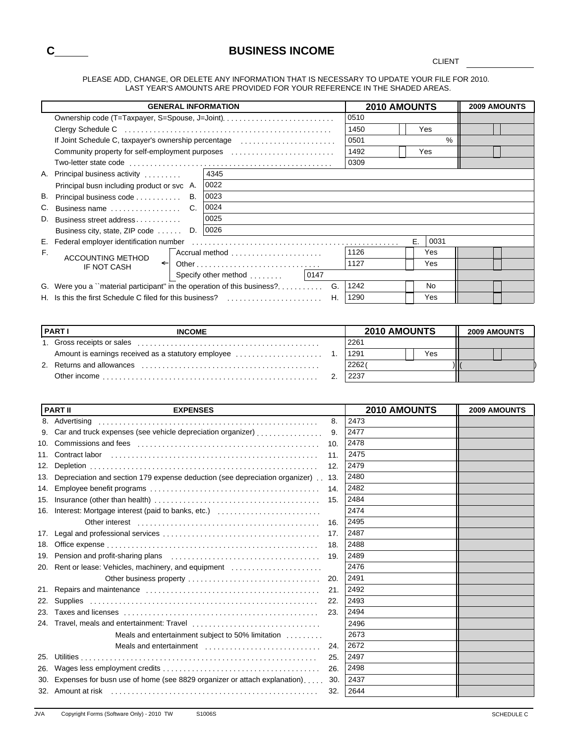### **C BUSINESS INCOME**

CLIENT

PLEASE ADD, CHANGE, OR DELETE ANY INFORMATION THAT IS NECESSARY TO UPDATE YOUR FILE FOR 2010. LAST YEAR'S AMOUNTS ARE PROVIDED FOR YOUR REFERENCE IN THE SHADED AREAS.

|    | <b>GENERAL INFORMATION</b>                                                                 |                |      | 2010 AMOUNTS |    |            | <b>2009 AMOUNTS</b> |  |  |
|----|--------------------------------------------------------------------------------------------|----------------|------|--------------|----|------------|---------------------|--|--|
|    | Ownership code (T=Taxpayer, S=Spouse, J=Joint)                                             |                |      | 0510         |    |            |                     |  |  |
|    | Clergy Schedule C (all contains and contains a set of the contact of the clergy Schedule C |                |      | 1450         |    | Yes        |                     |  |  |
|    | If Joint Schedule C, taxpayer's ownership percentage                                       |                |      | 0501         |    | %          |                     |  |  |
|    | Community property for self-employment purposes                                            |                |      | 1492         |    | Yes        |                     |  |  |
|    |                                                                                            |                | 0309 |              |    |            |                     |  |  |
|    | A. Principal business activity                                                             | 4345           |      |              |    |            |                     |  |  |
|    | Principal busn including product or svc A.                                                 | 0022           |      |              |    |            |                     |  |  |
| В. | Principal business code<br>В.                                                              | 0023           |      |              |    |            |                     |  |  |
| C. | Business name                                                                              | 0024           |      |              |    |            |                     |  |  |
| D. | Business street address                                                                    | 0025           |      |              |    |            |                     |  |  |
|    | D.<br>Business city, state, ZIP code                                                       | 0026           |      |              |    |            |                     |  |  |
|    |                                                                                            |                |      |              | E. | 0031       |                     |  |  |
| F. | <b>ACCOUNTING METHOD</b>                                                                   | Accrual method |      | 1126         |    | Yes        |                     |  |  |
|    | $\leftarrow$<br>IF NOT CASH                                                                |                |      | 1127         |    | <b>Yes</b> |                     |  |  |
|    |                                                                                            |                |      |              |    |            |                     |  |  |
|    | G. Were you a "material participant" in the operation of this business?                    | G.             |      | 1242         |    | No.        |                     |  |  |
|    | H. Is this the first Schedule C filed for this business?                                   | Η.             |      | 1290         |    | Yes        |                     |  |  |

| <b>PARTI</b><br><b>INCOME</b>                       |      | <b>2010 AMOUNTS</b> |  |  |  |  |  |
|-----------------------------------------------------|------|---------------------|--|--|--|--|--|
| 1. Gross receipts or sales                          | 2261 |                     |  |  |  |  |  |
| Amount is earnings received as a statutory employee | 1291 | Yes                 |  |  |  |  |  |
| 2. Returns and allowances                           | 2262 |                     |  |  |  |  |  |
| Other income                                        | 2237 |                     |  |  |  |  |  |

|     | <b>PART II</b><br><b>EXPENSES</b>                                                  | 2010 AMOUNTS | 2009 AMOUNTS |
|-----|------------------------------------------------------------------------------------|--------------|--------------|
|     | 8. Advertising<br>8.                                                               | 2473         |              |
| 9.  | Car and truck expenses (see vehicle depreciation organizer)<br>9.                  | 2477         |              |
| 10. | 10.                                                                                | 2478         |              |
| 11. | 11.                                                                                | 2475         |              |
| 12. | 12.                                                                                | 2479         |              |
| 13. | Depreciation and section 179 expense deduction (see depreciation organizer)<br>13. | 2480         |              |
| 14. | 14.                                                                                | 2482         |              |
| 15. | 15.                                                                                | 2484         |              |
|     | 16. Interest: Mortgage interest (paid to banks, etc.)                              | 2474         |              |
|     | 16.                                                                                | 2495         |              |
| 17. | 17.                                                                                | 2487         |              |
| 18. | 18.                                                                                | 2488         |              |
| 19. | 19.                                                                                | 2489         |              |
|     | 20. Rent or lease: Vehicles, machinery, and equipment                              | 2476         |              |
|     | 20.                                                                                | 2491         |              |
| 21. | 21.                                                                                | 2492         |              |
| 22. | 22.                                                                                | 2493         |              |
| 23. | 23.                                                                                | 2494         |              |
|     |                                                                                    | 2496         |              |
|     | Meals and entertainment subject to 50% limitation                                  | 2673         |              |
|     | Meals and entertainment<br>24.                                                     | 2672         |              |
| 25. | 25.                                                                                | 2497         |              |
| 26. | 26.                                                                                | 2498         |              |
| 30. | Expenses for busn use of home (see 8829 organizer or attach explanation)<br>30.    | 2437         |              |
|     | 32.                                                                                | 2644         |              |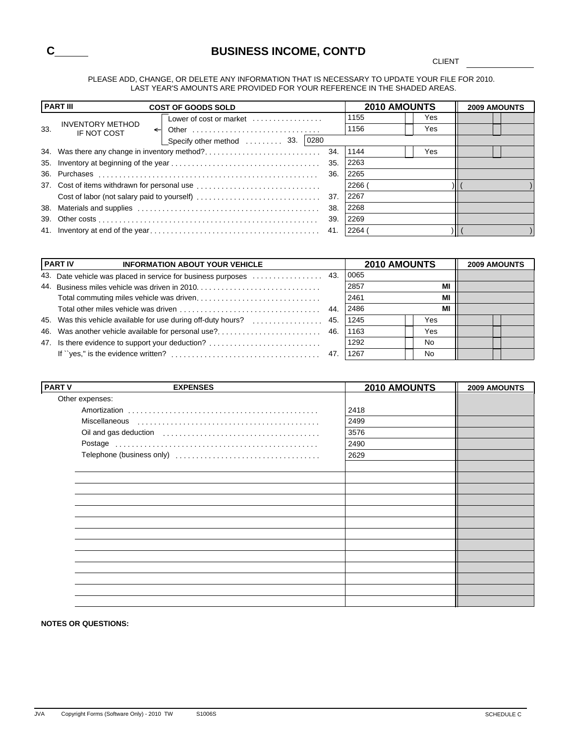

**CLIENT** 

#### PLEASE ADD, CHANGE, OR DELETE ANY INFORMATION THAT IS NECESSARY TO UPDATE YOUR FILE FOR 2010. LAST YEAR'S AMOUNTS ARE PROVIDED FOR YOUR REFERENCE IN THE SHADED AREAS.

|     | <b>PART III</b>                                        | <b>COST OF GOODS SOLD</b>                                              |     | <b>2010 AMOUNTS</b> |     | <b>2009 AMOUNTS</b> |
|-----|--------------------------------------------------------|------------------------------------------------------------------------|-----|---------------------|-----|---------------------|
|     |                                                        | Lower of cost or market $\ldots, \ldots, \ldots, \ldots$               |     | 1155                | Yes |                     |
| 33. | <b>INVENTORY METHOD</b><br>$\leftarrow$<br>IF NOT COST | Other $\ldots \ldots \ldots \ldots \ldots \ldots \ldots \ldots \ldots$ |     | 1156                | Yes |                     |
|     |                                                        | Specify other method $\ldots \ldots \ldots$ 33. 0280                   |     |                     |     |                     |
|     |                                                        | 34. Was there any change in inventory method?                          | 34. | 1144                | Yes |                     |
|     |                                                        |                                                                        | 35. | 2263                |     |                     |
|     |                                                        |                                                                        | 36. | 2265                |     |                     |
|     |                                                        |                                                                        |     | 2266                |     |                     |
|     |                                                        |                                                                        |     | 2267                |     |                     |
|     |                                                        |                                                                        | 38. | 2268                |     |                     |
|     |                                                        |                                                                        | 39. | 2269                |     |                     |
|     |                                                        |                                                                        |     | 2264                |     |                     |

|     | <b>PART IV</b><br><b>INFORMATION ABOUT YOUR VEHICLE</b>            |     | <b>2010 AMOUNTS</b> |     | <b>2009 AMOUNTS</b> |  |
|-----|--------------------------------------------------------------------|-----|---------------------|-----|---------------------|--|
| 43. |                                                                    |     | 0065                |     |                     |  |
| 44. |                                                                    |     | 2857                | MI  |                     |  |
|     |                                                                    |     | 2461                | MI  |                     |  |
|     |                                                                    | 44. | 2486                | MI  |                     |  |
|     | 45. Was this vehicle available for use during off-duty hours?  45. |     | 1245                | Yes |                     |  |
|     | 46. Was another vehicle available for personal use?                | 46. | 1163                | Yes |                     |  |
|     | 47. Is there evidence to support your deduction?                   |     | 1292                | No  |                     |  |
|     |                                                                    |     | 1267                | No  |                     |  |

| <b>PART V</b> | <b>EXPENSES</b> | 2010 AMOUNTS | 2009 AMOUNTS |
|---------------|-----------------|--------------|--------------|
|               | Other expenses: |              |              |
|               |                 | 2418         |              |
|               |                 | 2499         |              |
|               |                 | 3576         |              |
|               |                 | 2490         |              |
|               |                 | 2629         |              |
|               |                 |              |              |
|               |                 |              |              |
|               |                 |              |              |
|               |                 |              |              |
|               |                 |              |              |
|               |                 |              |              |
|               |                 |              |              |
|               |                 |              |              |
|               |                 |              |              |
|               |                 |              |              |
|               |                 |              |              |
|               |                 |              |              |
|               |                 |              |              |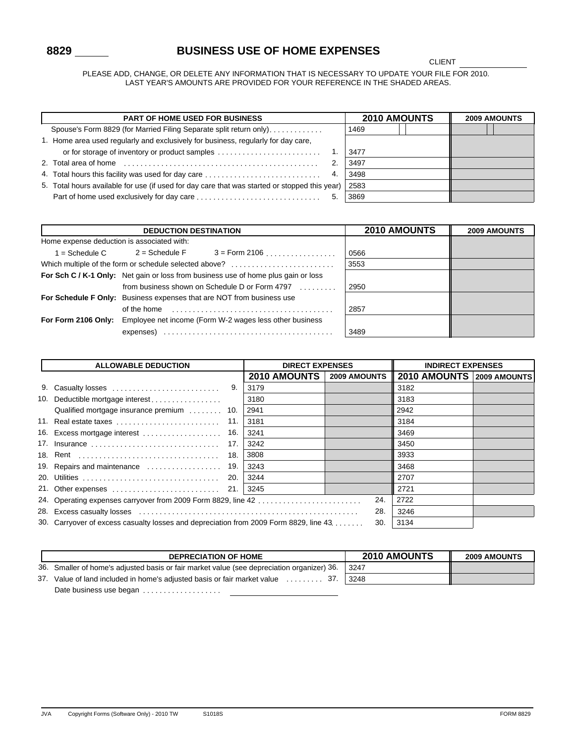### **8829 BUSINESS USE OF HOME EXPENSES**

CLIENT

PLEASE ADD, CHANGE, OR DELETE ANY INFORMATION THAT IS NECESSARY TO UPDATE YOUR FILE FOR 2010. LAST YEAR'S AMOUNTS ARE PROVIDED FOR YOUR REFERENCE IN THE SHADED AREAS.

| <b>PART OF HOME USED FOR BUSINESS</b>                                                         | <b>2010 AMOUNTS</b> | <b>2009 AMOUNTS</b> |  |  |
|-----------------------------------------------------------------------------------------------|---------------------|---------------------|--|--|
| Spouse's Form 8829 (for Married Filing Separate split return only),                           |                     | 1469                |  |  |
| 1. Home area used regularly and exclusively for business, regularly for day care,             |                     |                     |  |  |
| or for storage of inventory or product samples                                                |                     | 3477                |  |  |
| $\overline{2}$                                                                                |                     | 3497                |  |  |
| 4. Total hours this facility was used for day care<br>4.                                      |                     | 3498                |  |  |
| 5. Total hours available for use (if used for day care that was started or stopped this year) |                     | 2583                |  |  |
| 5.                                                                                            |                     | 3869                |  |  |

|                                            | <b>DEDUCTION DESTINATION</b>                                                       | <b>2010 AMOUNTS</b>                                          | <b>2009 AMOUNTS</b> |  |
|--------------------------------------------|------------------------------------------------------------------------------------|--------------------------------------------------------------|---------------------|--|
| Home expense deduction is associated with: |                                                                                    |                                                              |                     |  |
|                                            |                                                                                    | $=$ Schedule C $=$ 2 = Schedule F $=$ 3 = Form 2106 $\ldots$ | 0566                |  |
|                                            |                                                                                    | Which multiple of the form or schedule selected above?       | 3553                |  |
|                                            | For Sch C / K-1 Only: Net gain or loss from business use of home plus gain or loss |                                                              |                     |  |
|                                            |                                                                                    | from business shown on Schedule D or Form 4797               | 2950                |  |
|                                            | For Schedule F Only: Business expenses that are NOT from business use              |                                                              |                     |  |
|                                            | of the home                                                                        |                                                              | 2857                |  |
|                                            | <b>For Form 2106 Only:</b> Employee net income (Form W-2 wages less other business |                                                              |                     |  |
|                                            | expenses)                                                                          |                                                              | 3489                |  |

|    | <b>ALLOWABLE DEDUCTION</b>                                                            | <b>DIRECT EXPENSES</b> |                     | <b>INDIRECT EXPENSES</b> |                           |  |
|----|---------------------------------------------------------------------------------------|------------------------|---------------------|--------------------------|---------------------------|--|
|    |                                                                                       |                        | <b>2010 AMOUNTS</b> | <b>2009 AMOUNTS</b>      | 2010 AMOUNTS 2009 AMOUNTS |  |
| 9. |                                                                                       |                        | 3179                |                          | 3182                      |  |
|    | 10. Deductible mortgage interest                                                      |                        | 3180                |                          | 3183                      |  |
|    | Qualified mortgage insurance premium                                                  | 10.                    | 2941                |                          | 2942                      |  |
|    | 11. Real estate taxes                                                                 | 11.                    | 3181                |                          | 3184                      |  |
|    | 16. Excess mortgage interest                                                          | 16.                    | 3241                |                          | 3469                      |  |
|    | 17. Insurance                                                                         | 17.                    | 3242                |                          | 3450                      |  |
|    |                                                                                       | 18.                    | 3808                |                          | 3933                      |  |
|    |                                                                                       |                        | 3243                |                          | 3468                      |  |
|    |                                                                                       | 20.                    | 3244                |                          | 2707                      |  |
|    |                                                                                       |                        |                     |                          | 2721                      |  |
|    |                                                                                       |                        |                     | 24.                      | 2722                      |  |
|    |                                                                                       |                        |                     | 28.                      | 3246                      |  |
|    | 30. Carryover of excess casualty losses and depreciation from 2009 Form 8829, line 43 |                        |                     | 30.                      | 3134                      |  |

| <b>DEPRECIATION OF HOME</b>                                                                | <b>2010 AMOUNTS</b> | <b>2009 AMOUNTS</b> |
|--------------------------------------------------------------------------------------------|---------------------|---------------------|
| 36. Smaller of home's adjusted basis or fair market value (see depreciation organizer) 36. | -3247               |                     |
| 37. Value of land included in home's adjusted basis or fair market value  37.              | 3248                |                     |
| Date business use began                                                                    |                     |                     |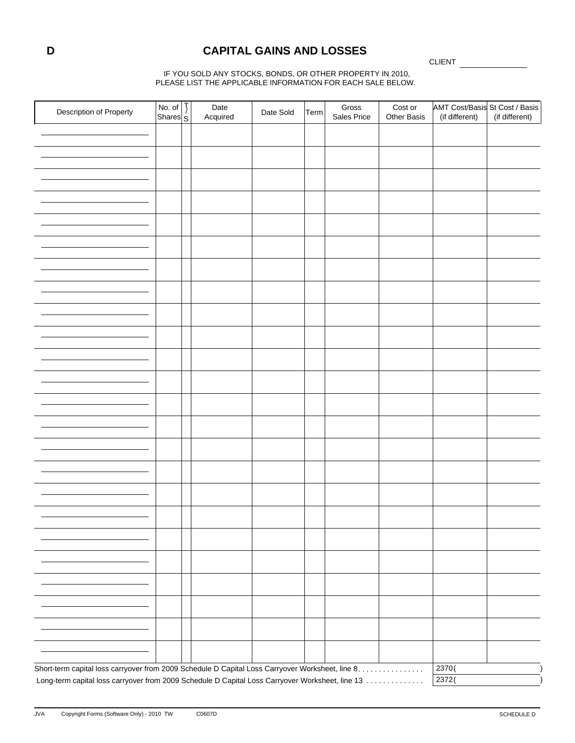### **D CAPITAL GAINS AND LOSSES**

CLIENT

IF YOU SOLD ANY STOCKS, BONDS, OR OTHER PROPERTY IN 2010, PLEASE LIST THE APPLICABLE INFORMATION FOR EACH SALE BELOW.

| Description of Property                                                                          | No. of $\frac{1}{6}$<br>Shares $\frac{1}{5}$ | Date     | Date Sold | Term | Gross       | Cost or     | AMT Cost/Basis St Cost / Basis |                |
|--------------------------------------------------------------------------------------------------|----------------------------------------------|----------|-----------|------|-------------|-------------|--------------------------------|----------------|
|                                                                                                  |                                              | Acquired |           |      | Sales Price | Other Basis | (if different)                 | (if different) |
|                                                                                                  |                                              |          |           |      |             |             |                                |                |
|                                                                                                  |                                              |          |           |      |             |             |                                |                |
|                                                                                                  |                                              |          |           |      |             |             |                                |                |
|                                                                                                  |                                              |          |           |      |             |             |                                |                |
|                                                                                                  |                                              |          |           |      |             |             |                                |                |
|                                                                                                  |                                              |          |           |      |             |             |                                |                |
|                                                                                                  |                                              |          |           |      |             |             |                                |                |
|                                                                                                  |                                              |          |           |      |             |             |                                |                |
|                                                                                                  |                                              |          |           |      |             |             |                                |                |
|                                                                                                  |                                              |          |           |      |             |             |                                |                |
|                                                                                                  |                                              |          |           |      |             |             |                                |                |
|                                                                                                  |                                              |          |           |      |             |             |                                |                |
|                                                                                                  |                                              |          |           |      |             |             |                                |                |
|                                                                                                  |                                              |          |           |      |             |             |                                |                |
|                                                                                                  |                                              |          |           |      |             |             |                                |                |
|                                                                                                  |                                              |          |           |      |             |             |                                |                |
|                                                                                                  |                                              |          |           |      |             |             |                                |                |
|                                                                                                  |                                              |          |           |      |             |             |                                |                |
|                                                                                                  |                                              |          |           |      |             |             |                                |                |
|                                                                                                  |                                              |          |           |      |             |             |                                |                |
|                                                                                                  |                                              |          |           |      |             |             |                                |                |
|                                                                                                  |                                              |          |           |      |             |             |                                |                |
|                                                                                                  |                                              |          |           |      |             |             |                                |                |
|                                                                                                  |                                              |          |           |      |             |             |                                |                |
|                                                                                                  |                                              |          |           |      |             |             |                                |                |
|                                                                                                  |                                              |          |           |      |             |             |                                |                |
|                                                                                                  |                                              |          |           |      |             |             |                                |                |
|                                                                                                  |                                              |          |           |      |             |             |                                |                |
|                                                                                                  |                                              |          |           |      |             |             |                                |                |
|                                                                                                  |                                              |          |           |      |             |             |                                |                |
|                                                                                                  |                                              |          |           |      |             |             |                                |                |
|                                                                                                  |                                              |          |           |      |             |             |                                |                |
|                                                                                                  |                                              |          |           |      |             |             |                                |                |
|                                                                                                  |                                              |          |           |      |             |             |                                |                |
|                                                                                                  |                                              |          |           |      |             |             |                                |                |
|                                                                                                  |                                              |          |           |      |             |             |                                |                |
|                                                                                                  |                                              |          |           |      |             |             |                                |                |
|                                                                                                  |                                              |          |           |      |             |             |                                |                |
|                                                                                                  |                                              |          |           |      |             |             |                                |                |
|                                                                                                  |                                              |          |           |      |             |             |                                |                |
|                                                                                                  |                                              |          |           |      |             |             |                                |                |
|                                                                                                  |                                              |          |           |      |             |             |                                |                |
|                                                                                                  |                                              |          |           |      |             |             |                                |                |
|                                                                                                  |                                              |          |           |      |             |             |                                |                |
|                                                                                                  |                                              |          |           |      |             |             |                                |                |
|                                                                                                  |                                              |          |           |      |             |             |                                |                |
|                                                                                                  |                                              |          |           |      |             |             |                                |                |
|                                                                                                  |                                              |          |           |      |             |             |                                |                |
|                                                                                                  |                                              |          |           |      |             |             |                                |                |
|                                                                                                  |                                              |          |           |      |             |             |                                |                |
|                                                                                                  |                                              |          |           |      |             |             |                                |                |
| Short-term capital loss carryover from 2009 Schedule D Capital Loss Carryover Worksheet, line 8. |                                              |          |           |      |             |             | $\frac{1}{2}370($              |                |
|                                                                                                  |                                              |          |           |      |             |             |                                |                |
| Long-term capital loss carryover from 2009 Schedule D Capital Loss Carryover Worksheet, line 13  |                                              |          |           |      |             |             | $\overline{2}372($             |                |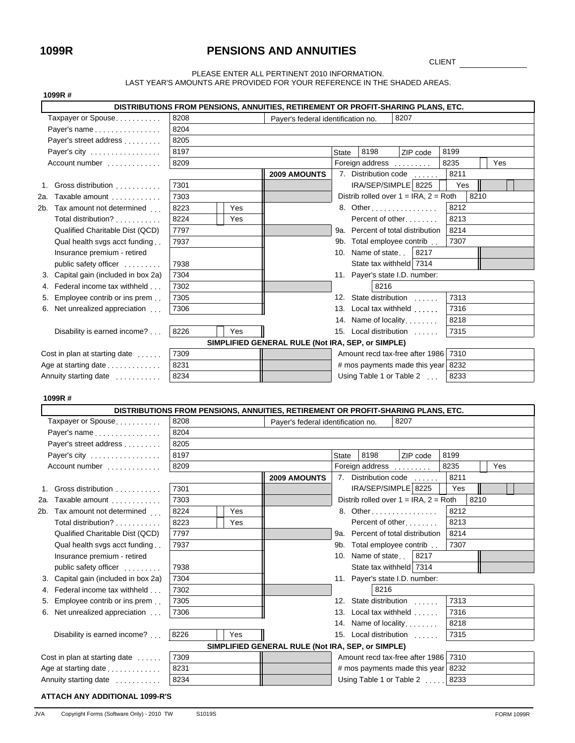### **1099R PENSIONS AND ANNUITIES**

CLIENT

#### PLEASE ENTER ALL PERTINENT 2010 INFORMATION. LAST YEAR'S AMOUNTS ARE PROVIDED FOR YOUR REFERENCE IN THE SHADED AREAS.

|  | 1099R # |  |
|--|---------|--|
|--|---------|--|

| 1099R#                                  |      |     |                                                                                  |              |                                            |           |      |      |  |
|-----------------------------------------|------|-----|----------------------------------------------------------------------------------|--------------|--------------------------------------------|-----------|------|------|--|
|                                         |      |     | DISTRIBUTIONS FROM PENSIONS, ANNUITIES, RETIREMENT OR PROFIT-SHARING PLANS, ETC. |              |                                            |           |      |      |  |
| Taxpayer or Spouse                      | 8208 |     | Payer's federal identification no.                                               |              |                                            | 8207      |      |      |  |
| Payer's name                            | 8204 |     |                                                                                  |              |                                            |           |      |      |  |
| Payer's street address                  | 8205 |     |                                                                                  |              |                                            |           |      |      |  |
| Payer's city                            | 8197 |     |                                                                                  | <b>State</b> | 8198                                       | ZIP code  | 8199 |      |  |
| Account number                          | 8209 |     |                                                                                  |              | Foreign address                            |           | 8235 | Yes  |  |
|                                         |      |     | <b>2009 AMOUNTS</b>                                                              |              | 7. Distribution code                       |           | 8211 |      |  |
| Gross distribution<br>1.                | 7301 |     |                                                                                  |              | IRA/SEP/SIMPLE 8225                        |           | Yes  |      |  |
| 2a. Taxable amount                      | 7303 |     |                                                                                  |              | Distrib rolled over $1 = IRA$ , $2 = Roth$ |           |      | 8210 |  |
| 2b. Tax amount not determined           | 8223 | Yes |                                                                                  |              | 8. Other                                   |           | 8212 |      |  |
| Total distribution?                     | 8224 | Yes |                                                                                  |              | Percent of other                           |           | 8213 |      |  |
| Qualified Charitable Dist (QCD)         | 7797 |     |                                                                                  |              | 9a. Percent of total distribution          |           | 8214 |      |  |
| Qual health svgs acct funding           | 7937 |     |                                                                                  |              | 9b. Total employee contrib                 |           | 7307 |      |  |
| Insurance premium - retired             |      |     |                                                                                  |              | 10. Name of state                          | 8217      |      |      |  |
| public safety officer                   | 7938 |     |                                                                                  |              | State tax withheld 7314                    |           |      |      |  |
| 3. Capital gain (included in box 2a)    | 7304 |     |                                                                                  |              | 11. Payer's state I.D. number:             |           |      |      |  |
| Federal income tax withheld<br>4.       | 7302 |     |                                                                                  |              | 8216                                       |           |      |      |  |
| Employee contrib or ins prem.<br>5.     | 7305 |     |                                                                                  |              | 12. State distribution                     |           | 7313 |      |  |
| Net unrealized appreciation<br>6.       | 7306 |     |                                                                                  |              | 13. Local tax withheld                     |           | 7316 |      |  |
|                                         |      |     |                                                                                  |              | 14. Name of locality                       |           | 8218 |      |  |
| Disability is earned income?            | 8226 | Yes |                                                                                  |              | 15. Local distribution                     |           | 7315 |      |  |
|                                         |      |     | SIMPLIFIED GENERAL RULE (Not IRA, SEP, or SIMPLE)                                |              |                                            |           |      |      |  |
| Cost in plan at starting date           | 7309 |     |                                                                                  |              | Amount recd tax-free after 1986            |           | 7310 |      |  |
| Age at starting date                    | 8231 |     |                                                                                  |              | # mos payments made this year              |           | 8232 |      |  |
| Annuity starting date                   | 8234 |     |                                                                                  |              | Using Table 1 or Table 2                   |           | 8233 |      |  |
|                                         |      |     |                                                                                  |              |                                            |           |      |      |  |
| 1099R#                                  |      |     |                                                                                  |              |                                            |           |      |      |  |
|                                         |      |     | DISTRIBUTIONS FROM PENSIONS, ANNUITIES, RETIREMENT OR PROFIT-SHARING PLANS, ETC. |              |                                            |           |      |      |  |
| Taxpayer or Spouse                      | 8208 |     | Payer's federal identification no.                                               |              |                                            | 8207      |      |      |  |
| Payer's name                            | 8204 |     |                                                                                  |              |                                            |           |      |      |  |
| Payer's street address                  | 8205 |     |                                                                                  |              |                                            |           |      |      |  |
| Payer's city                            | 8197 |     |                                                                                  | <b>State</b> | 8198                                       | ZIP code  | 8199 |      |  |
| Account number                          | 8209 |     |                                                                                  |              | Foreign address                            |           | 8235 | Yes  |  |
|                                         |      |     | <b>2009 AMOUNTS</b>                                                              |              | 7. Distribution code                       | $\sim$    | 8211 |      |  |
| 1. Gross distribution                   | 7301 |     |                                                                                  |              | IRA/SEP/SIMPLE 8225                        |           | Yes  |      |  |
| 2a. Taxable amount                      | 7303 |     |                                                                                  |              | Distrib rolled over $1 = IRA$ , $2 = Roth$ |           | 8210 |      |  |
| 2b. Tax amount not determined           | 8224 | Yes |                                                                                  |              | 8. Other                                   |           | 8212 |      |  |
| Total distribution?                     | 8223 | Yes |                                                                                  |              | Percent of other                           |           | 8213 |      |  |
| Qualified Charitable Dist (QCD)         | 7797 |     |                                                                                  |              | 9a. Percent of total distribution          |           | 8214 |      |  |
| Qual health svgs acct funding           | 7937 |     |                                                                                  |              | 9b. Total employee contrib.                |           | 7307 |      |  |
| Insurance premium - retired             |      |     |                                                                                  |              | 10. Name of state                          | 8217      |      |      |  |
| public safety officer                   | 7938 |     |                                                                                  |              | State tax withheld 7314                    |           |      |      |  |
| Capital gain (included in box 2a)<br>3. | 7304 |     |                                                                                  |              | 11. Payer's state I.D. number:             |           |      |      |  |
| Federal income tax withheld<br>4.       | 7302 |     |                                                                                  |              | 8216                                       |           |      |      |  |
| Employee contrib or ins prem<br>5.      | 7305 |     |                                                                                  |              | 12. State distribution                     | 1.1.1.1.1 | 7313 |      |  |
| Net unrealized appreciation<br>6.       | 7306 |     |                                                                                  |              | 13. Local tax withheld                     |           | 7316 |      |  |
|                                         |      |     |                                                                                  |              | 14. Name of locality                       |           | 8218 |      |  |
| Disability is earned income?            | 8226 | Yes |                                                                                  |              | 15. Local distribution                     |           | 7315 |      |  |
|                                         |      |     |                                                                                  |              |                                            |           |      |      |  |
|                                         |      |     | SIMPLIFIED GENERAL RULE (Not IRA, SEP, or SIMPLE)                                |              |                                            |           | 7310 |      |  |
| Cost in plan at starting date           | 7309 |     |                                                                                  |              | Amount recd tax-free after 1986            |           |      |      |  |
| Age at starting date                    | 8231 |     |                                                                                  |              | # mos payments made this year              |           | 8232 |      |  |
| Annuity starting date                   | 8234 |     |                                                                                  |              | Using Table 1 or Table 2                   |           | 8233 |      |  |

**ATTACH ANY ADDITIONAL 1099-R'S**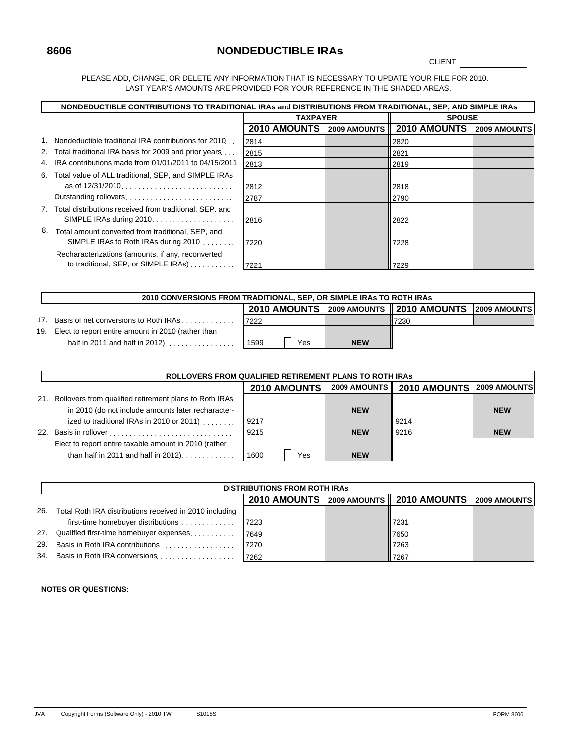### **8606 NONDEDUCTIBLE IRAs**

**CLIENT** 

PLEASE ADD, CHANGE, OR DELETE ANY INFORMATION THAT IS NECESSARY TO UPDATE YOUR FILE FOR 2010. LAST YEAR'S AMOUNTS ARE PROVIDED FOR YOUR REFERENCE IN THE SHADED AREAS.

|    |                                                                                           | NONDEDUCTIBLE CONTRIBUTIONS TO TRADITIONAL IRAs and DISTRIBUTIONS FROM TRADITIONAL, SEP, AND SIMPLE IRAS |                     |                     |                     |  |  |  |  |
|----|-------------------------------------------------------------------------------------------|----------------------------------------------------------------------------------------------------------|---------------------|---------------------|---------------------|--|--|--|--|
|    |                                                                                           | <b>TAXPAYER</b>                                                                                          | <b>SPOUSE</b>       |                     |                     |  |  |  |  |
|    |                                                                                           | <b>2010 AMOUNTS</b>                                                                                      | <b>2009 AMOUNTS</b> | <b>2010 AMOUNTS</b> | <b>2009 AMOUNTS</b> |  |  |  |  |
|    | 1. Nondeductible traditional IRA contributions for 2010.                                  | 2814                                                                                                     |                     | 2820                |                     |  |  |  |  |
|    | 2. Total traditional IRA basis for 2009 and prior years                                   | 2815                                                                                                     |                     | 2821                |                     |  |  |  |  |
| 4. | IRA contributions made from 01/01/2011 to 04/15/2011                                      | 2813                                                                                                     |                     | 2819                |                     |  |  |  |  |
|    | 6. Total value of ALL traditional, SEP, and SIMPLE IRAs                                   | 2812                                                                                                     |                     | 2818                |                     |  |  |  |  |
|    | Outstanding rollovers                                                                     | 2787                                                                                                     |                     | 2790                |                     |  |  |  |  |
|    | 7. Total distributions received from traditional, SEP, and                                | 2816                                                                                                     |                     | 2822                |                     |  |  |  |  |
| 8. | Total amount converted from traditional, SEP, and<br>SIMPLE IRAs to Roth IRAs during 2010 | 7220                                                                                                     |                     | 7228                |                     |  |  |  |  |
|    | Recharacterizations (amounts, if any, reconverted<br>to traditional, SEP, or SIMPLE IRAs) | 7221                                                                                                     |                     | 7229                |                     |  |  |  |  |

|     | 2010 CONVERSIONS FROM TRADITIONAL, SEP, OR SIMPLE IRAS TO ROTH IRAS |       |  |     |            |                                                     |  |  |
|-----|---------------------------------------------------------------------|-------|--|-----|------------|-----------------------------------------------------|--|--|
|     |                                                                     |       |  |     |            | 2010 AMOUNTS 2009 AMOUNTS 2010 AMOUNTS 2009 AMOUNTS |  |  |
|     | 17. Basis of net conversions to Roth IRAs                           | 17222 |  |     |            | 7230                                                |  |  |
| 19. | Elect to report entire amount in 2010 (rather than                  |       |  |     |            |                                                     |  |  |
|     | half in 2011 and half in 2012) $\ldots$ , $\ldots$                  | 1599  |  | Yes | <b>NEW</b> |                                                     |  |  |

|     | <b>ROLLOVERS FROM QUALIFIED RETIREMENT PLANS TO ROTH IRAS</b>                                                |                     |                     |                     |                     |  |  |  |
|-----|--------------------------------------------------------------------------------------------------------------|---------------------|---------------------|---------------------|---------------------|--|--|--|
|     |                                                                                                              | <b>2010 AMOUNTS</b> | <b>2009 AMOUNTS</b> | <b>2010 AMOUNTS</b> | <b>2009 AMOUNTS</b> |  |  |  |
| 21. | Rollovers from qualified retirement plans to Roth IRAs<br>in 2010 (do not include amounts later recharacter- |                     | <b>NEW</b>          |                     | <b>NEW</b>          |  |  |  |
|     | ized to traditional IRAs in 2010 or 2011) $\ldots$                                                           | 9217                |                     | 9214                |                     |  |  |  |
| 22. |                                                                                                              | 9215                | <b>NEW</b>          | 9216                | <b>NEW</b>          |  |  |  |
|     | Elect to report entire taxable amount in 2010 (rather<br>than half in 2011 and half in 2012)                 | 1600<br>Yes         | <b>NEW</b>          |                     |                     |  |  |  |

|     | <b>DISTRIBUTIONS FROM ROTH IRAS</b>                     |      |  |                                          |                     |  |  |  |  |
|-----|---------------------------------------------------------|------|--|------------------------------------------|---------------------|--|--|--|--|
|     |                                                         |      |  | 2010 AMOUNTS 2009 AMOUNTS   2010 AMOUNTS | <b>2009 AMOUNTS</b> |  |  |  |  |
| 26. | Total Roth IRA distributions received in 2010 including |      |  |                                          |                     |  |  |  |  |
|     | first-time homebuyer distributions                      | 7223 |  | 7231                                     |                     |  |  |  |  |
| 27. | Qualified first-time homebuyer expenses                 | 7649 |  | 7650                                     |                     |  |  |  |  |
| 29. | Basis in Roth IRA contributions                         | 7270 |  | 7263                                     |                     |  |  |  |  |
|     |                                                         | 7262 |  | 7267                                     |                     |  |  |  |  |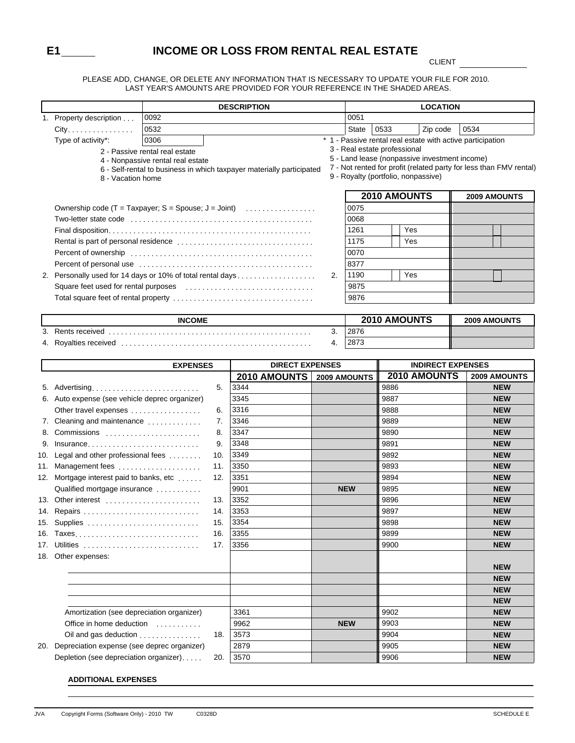### **E1 INCOME OR LOSS FROM RENTAL REAL ESTATE**

CLIENT

٦

PLEASE ADD, CHANGE, OR DELETE ANY INFORMATION THAT IS NECESSARY TO UPDATE YOUR FILE FOR 2010. LAST YEAR'S AMOUNTS ARE PROVIDED FOR YOUR REFERENCE IN THE SHADED AREAS.

|     | <b>DESCRIPTION</b>                                              |                                   |                                                                       |              |              | <b>LOCATION</b>                     |                                                            |                                                                    |  |  |
|-----|-----------------------------------------------------------------|-----------------------------------|-----------------------------------------------------------------------|--------------|--------------|-------------------------------------|------------------------------------------------------------|--------------------------------------------------------------------|--|--|
|     | 1. Property description                                         | 0092                              |                                                                       |              | 0051         |                                     |                                                            |                                                                    |  |  |
|     | City.                                                           | 0532                              |                                                                       |              | <b>State</b> | 0533                                | Zip code                                                   | 0534                                                               |  |  |
|     | Type of activity*:                                              | 0306                              |                                                                       |              |              |                                     | * 1 - Passive rental real estate with active participation |                                                                    |  |  |
|     |                                                                 | 2 - Passive rental real estate    |                                                                       |              |              | 3 - Real estate professional        |                                                            |                                                                    |  |  |
|     |                                                                 | 4 - Nonpassive rental real estate |                                                                       |              |              |                                     | 5 - Land lease (nonpassive investment income)              | 7 - Not rented for profit (related party for less than FMV rental) |  |  |
|     | 8 - Vacation home                                               |                                   | 6 - Self-rental to business in which taxpayer materially participated |              |              | 9 - Royalty (portfolio, nonpassive) |                                                            |                                                                    |  |  |
|     |                                                                 |                                   |                                                                       |              |              |                                     |                                                            |                                                                    |  |  |
|     |                                                                 |                                   |                                                                       |              |              | 2010 AMOUNTS                        |                                                            | 2009 AMOUNTS                                                       |  |  |
|     | Ownership code $(T = Taxpayer; S = Spouse; J = Joint)$          |                                   |                                                                       |              | 0075         |                                     |                                                            |                                                                    |  |  |
|     |                                                                 |                                   |                                                                       |              | 0068         |                                     |                                                            |                                                                    |  |  |
|     |                                                                 |                                   |                                                                       |              | 1261         | Yes                                 |                                                            |                                                                    |  |  |
|     |                                                                 |                                   |                                                                       |              | 1175         | Yes                                 |                                                            |                                                                    |  |  |
|     |                                                                 |                                   |                                                                       |              | 0070         |                                     |                                                            |                                                                    |  |  |
|     |                                                                 |                                   |                                                                       |              | 8377         |                                     |                                                            |                                                                    |  |  |
|     | 2. Personally used for 14 days or 10% of total rental days      |                                   |                                                                       | 2.           | 1190         | Yes                                 |                                                            |                                                                    |  |  |
|     |                                                                 |                                   |                                                                       |              | 9875         |                                     |                                                            |                                                                    |  |  |
|     |                                                                 |                                   |                                                                       |              | 9876         |                                     |                                                            |                                                                    |  |  |
|     |                                                                 |                                   |                                                                       |              |              |                                     |                                                            |                                                                    |  |  |
|     |                                                                 | <b>INCOME</b>                     |                                                                       |              |              | 2010 AMOUNTS                        |                                                            | <b>2009 AMOUNTS</b>                                                |  |  |
|     |                                                                 |                                   |                                                                       | 3.           | 2876         |                                     |                                                            |                                                                    |  |  |
|     |                                                                 |                                   |                                                                       | 4.           | 2873         |                                     |                                                            |                                                                    |  |  |
|     |                                                                 |                                   |                                                                       |              |              |                                     |                                                            |                                                                    |  |  |
|     |                                                                 | <b>EXPENSES</b>                   | <b>DIRECT EXPENSES</b>                                                |              |              |                                     | <b>INDIRECT EXPENSES</b>                                   |                                                                    |  |  |
|     |                                                                 |                                   | 2010 AMOUNTS                                                          | 2009 AMOUNTS |              |                                     | 2010 AMOUNTS                                               | 2009 AMOUNTS                                                       |  |  |
|     | 5. Advertising                                                  | 5.                                | 3344<br>3345                                                          |              |              | 9886<br>9887                        |                                                            | <b>NEW</b><br><b>NEW</b>                                           |  |  |
|     | 6. Auto expense (see vehicle deprec organizer)                  |                                   | 3316                                                                  |              |              | 9888                                |                                                            | <b>NEW</b>                                                         |  |  |
|     | Other travel expenses                                           | 6.<br>7.                          | 3346                                                                  |              |              | 9889                                |                                                            | <b>NEW</b>                                                         |  |  |
|     | 7. Cleaning and maintenance<br>8. Commissions                   | 8.                                | 3347                                                                  |              |              | 9890                                |                                                            | <b>NEW</b>                                                         |  |  |
|     |                                                                 | 9.                                | 3348                                                                  |              |              | 9891                                |                                                            | <b>NEW</b>                                                         |  |  |
|     | 9. Insurance<br>10. Legal and other professional fees           | 10.                               | 3349                                                                  |              |              | 9892                                |                                                            | <b>NEW</b>                                                         |  |  |
|     |                                                                 | 11.                               | 3350                                                                  |              |              | 9893                                |                                                            | <b>NEW</b>                                                         |  |  |
|     | 11. Management fees<br>12. Mortgage interest paid to banks, etc | 12.                               | 3351                                                                  |              |              | 9894                                |                                                            | <b>NEW</b>                                                         |  |  |
|     | Qualified mortgage insurance                                    |                                   | 9901                                                                  |              | <b>NEW</b>   | 9895                                |                                                            | <b>NEW</b>                                                         |  |  |
|     | 13. Other interest                                              | 13.                               | 3352                                                                  |              |              | 9896                                |                                                            | <b>NEW</b>                                                         |  |  |
|     | 14. Repairs                                                     | 14.                               | 3353                                                                  |              |              | 9897                                |                                                            | <b>NEW</b>                                                         |  |  |
|     | 15. Supplies                                                    | 15.                               | 3354                                                                  |              |              | 9898                                |                                                            | <b>NEW</b>                                                         |  |  |
|     | 16. Taxes                                                       | 16.                               | 3355                                                                  |              |              | 9899                                |                                                            | <b>NEW</b>                                                         |  |  |
|     | 17. Utilities                                                   | 17.                               | 3356                                                                  |              |              | 9900                                |                                                            | <b>NEW</b>                                                         |  |  |
|     | 18. Other expenses:                                             |                                   |                                                                       |              |              |                                     |                                                            |                                                                    |  |  |
|     |                                                                 |                                   |                                                                       |              |              |                                     |                                                            | <b>NEW</b>                                                         |  |  |
|     |                                                                 |                                   |                                                                       |              |              |                                     |                                                            | <b>NEW</b>                                                         |  |  |
|     |                                                                 |                                   |                                                                       |              |              |                                     |                                                            | <b>NEW</b>                                                         |  |  |
|     |                                                                 |                                   |                                                                       |              |              |                                     |                                                            | <b>NEW</b>                                                         |  |  |
|     | Amortization (see depreciation organizer)                       |                                   | 3361                                                                  |              |              | 9902                                |                                                            | <b>NEW</b>                                                         |  |  |
|     | Office in home deduction                                        |                                   | 9962                                                                  |              | <b>NEW</b>   | 9903                                |                                                            | <b>NEW</b>                                                         |  |  |
|     | Oil and gas deduction                                           | 18.                               | 3573                                                                  |              |              | 9904                                |                                                            | <b>NEW</b>                                                         |  |  |
| 20. | Depreciation expense (see deprec organizer)                     |                                   | 2879                                                                  |              |              | 9905                                |                                                            | <b>NEW</b>                                                         |  |  |
|     | Depletion (see depreciation organizer)                          | 20.                               | 3570                                                                  |              |              | 9906                                |                                                            | <b>NEW</b>                                                         |  |  |

#### **ADDITIONAL EXPENSES**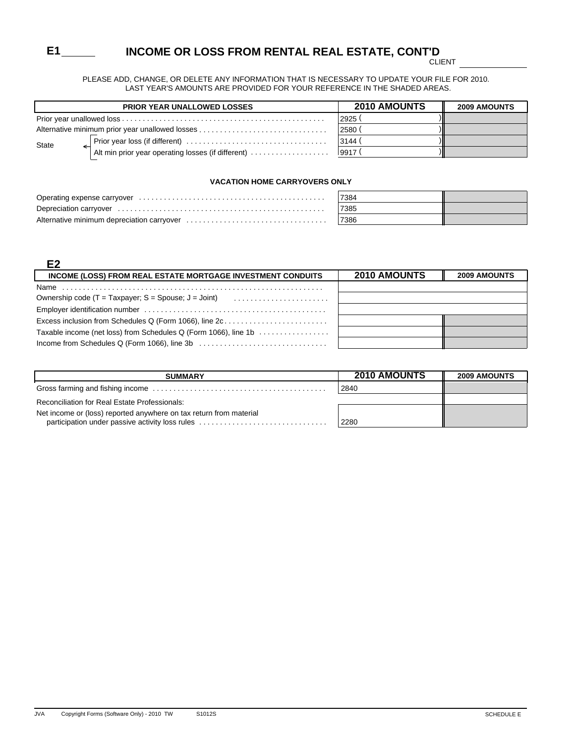# **E1 INCOME OR LOSS FROM RENTAL REAL ESTATE, CONT'D**

CLIENT

PLEASE ADD, CHANGE, OR DELETE ANY INFORMATION THAT IS NECESSARY TO UPDATE YOUR FILE FOR 2010. LAST YEAR'S AMOUNTS ARE PROVIDED FOR YOUR REFERENCE IN THE SHADED AREAS.

| <b>PRIOR YEAR UNALLOWED LOSSES</b>                 | <b>2010 AMOUNTS</b> | <b>2009 AMOUNTS</b> |
|----------------------------------------------------|---------------------|---------------------|
|                                                    | 2925                |                     |
|                                                    | 2580                |                     |
| State                                              | 3144 (              |                     |
| Alt min prior year operating losses (if different) | 9917 (              |                     |

#### **VACATION HOME CARRYOVERS ONLY**

| 7384 |  |
|------|--|
| 7385 |  |
| 7386 |  |

#### **E2**

| INCOME (LOSS) FROM REAL ESTATE MORTGAGE INVESTMENT CONDUITS     | <b>2010 AMOUNTS</b> | <b>2009 AMOUNTS</b> |
|-----------------------------------------------------------------|---------------------|---------------------|
|                                                                 |                     |                     |
| Ownership code $(T = Taxpower; S = Spouse; J = Joint)$          |                     |                     |
|                                                                 |                     |                     |
| Excess inclusion from Schedules Q (Form 1066), line 2c          |                     |                     |
| Taxable income (net loss) from Schedules Q (Form 1066), line 1b |                     |                     |
|                                                                 |                     |                     |

| <b>SUMMARY</b>                                                                                                        | 2010 AMOUNTS | <b>2009 AMOUNTS</b> |
|-----------------------------------------------------------------------------------------------------------------------|--------------|---------------------|
|                                                                                                                       | 2840         |                     |
| Reconciliation for Real Estate Professionals:                                                                         |              |                     |
| Net income or (loss) reported anywhere on tax return from material<br>participation under passive activity loss rules | 2280         |                     |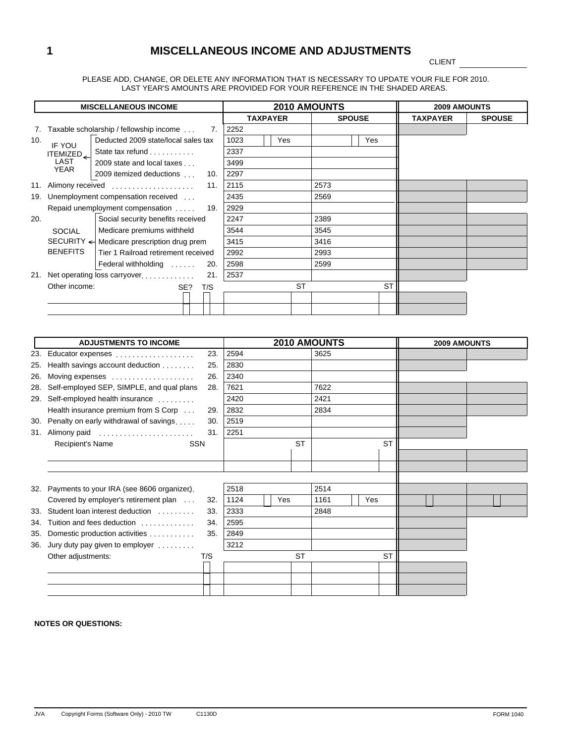# **1 MISCELLANEOUS INCOME AND ADJUSTMENTS**

CLIENT

PLEASE ADD, CHANGE, OR DELETE ANY INFORMATION THAT IS NECESSARY TO UPDATE YOUR FILE FOR 2010. LAST YEAR'S AMOUNTS ARE PROVIDED FOR YOUR REFERENCE IN THE SHADED AREAS.

|     |                  | <b>MISCELLANEOUS INCOME</b>                           | <b>2010 AMOUNTS</b> |                 |      |               | <b>2009 AMOUNTS</b> |               |  |
|-----|------------------|-------------------------------------------------------|---------------------|-----------------|------|---------------|---------------------|---------------|--|
|     |                  |                                                       |                     | <b>TAXPAYER</b> |      | <b>SPOUSE</b> | <b>TAXPAYER</b>     | <b>SPOUSE</b> |  |
|     |                  | Taxable scholarship / fellowship income<br>7.         | 2252                |                 |      |               |                     |               |  |
| 10. | IF YOU           | Deducted 2009 state/local sales tax                   | 1023                | Yes             |      | Yes           |                     |               |  |
|     | ITEMIZED         | State tax refund                                      | 2337                |                 |      |               |                     |               |  |
|     | LAST             | 2009 state and local taxes                            | 3499                |                 |      |               |                     |               |  |
|     | YEAR             | 2009 itemized deductions<br>10.                       | 2297                |                 |      |               |                     |               |  |
| 11. | Alimony received | 11.                                                   | 2115                |                 | 2573 |               |                     |               |  |
| 19. |                  | Unemployment compensation received                    | 2435                |                 | 2569 |               |                     |               |  |
|     |                  | Repaid unemployment compensation 19.                  | 2929                |                 |      |               |                     |               |  |
| 20. |                  | Social security benefits received                     | 2247                |                 | 2389 |               |                     |               |  |
|     | <b>SOCIAL</b>    | Medicare premiums withheld                            | 3544                |                 | 3545 |               |                     |               |  |
|     |                  | SECURITY $\leftarrow$ Medicare prescription drug prem | 3415                |                 | 3416 |               |                     |               |  |
|     | <b>BENEFITS</b>  | Tier 1 Railroad retirement received                   | 2992                |                 | 2993 |               |                     |               |  |
|     |                  | Federal withholding<br>20.                            | 2598                |                 | 2599 |               |                     |               |  |
| 21. |                  | Net operating loss carryover<br>21.                   | 2537                |                 |      |               |                     |               |  |
|     | Other income:    | SE?<br>T/S                                            |                     | <b>ST</b>       |      | <b>ST</b>     |                     |               |  |
|     |                  |                                                       |                     |                 |      |               |                     |               |  |
|     |                  |                                                       |                     |                 |      |               |                     |               |  |

|     | <b>ADJUSTMENTS TO INCOME</b>               |     |      |     |           | <b>2010 AMOUNTS</b> |     |           | 2009 AMOUNTS |  |
|-----|--------------------------------------------|-----|------|-----|-----------|---------------------|-----|-----------|--------------|--|
| 23. | Educator expenses                          | 23. | 2594 |     |           | 3625                |     |           |              |  |
| 25. | Health savings account deduction           | 25. | 2830 |     |           |                     |     |           |              |  |
| 26. | Moving expenses                            | 26. | 2340 |     |           |                     |     |           |              |  |
| 28. | Self-employed SEP, SIMPLE, and qual plans  | 28. | 7621 |     |           | 7622                |     |           |              |  |
| 29. | Self-employed health insurance             |     | 2420 |     |           | 2421                |     |           |              |  |
|     | Health insurance premium from S Corp       | 29. | 2832 |     |           | 2834                |     |           |              |  |
| 30. | Penalty on early withdrawal of savings     | 30. | 2519 |     |           |                     |     |           |              |  |
| 31. | Alimony paid                               | 31. | 2251 |     |           |                     |     |           |              |  |
|     | <b>SSN</b><br>Recipient's Name             |     |      |     | <b>ST</b> |                     |     | <b>ST</b> |              |  |
|     |                                            |     |      |     |           |                     |     |           |              |  |
|     |                                            |     |      |     |           |                     |     |           |              |  |
|     |                                            |     |      |     |           |                     |     |           |              |  |
| 32. | Payments to your IRA (see 8606 organizer). |     | 2518 |     |           | 2514                |     |           |              |  |
|     | Covered by employer's retirement plan      | 32. | 1124 | Yes |           | 1161                | Yes |           |              |  |
| 33. | Student loan interest deduction            | 33. | 2333 |     |           | 2848                |     |           |              |  |
| 34. | Tuition and fees deduction                 | 34. | 2595 |     |           |                     |     |           |              |  |
| 35. | Domestic production activities             | 35. | 2849 |     |           |                     |     |           |              |  |
| 36. | Jury duty pay given to employer $\ldots$ , |     | 3212 |     |           |                     |     |           |              |  |
|     | Other adjustments:                         | T/S |      |     | <b>ST</b> |                     |     | <b>ST</b> |              |  |
|     |                                            |     |      |     |           |                     |     |           |              |  |
|     |                                            |     |      |     |           |                     |     |           |              |  |
|     |                                            |     |      |     |           |                     |     |           |              |  |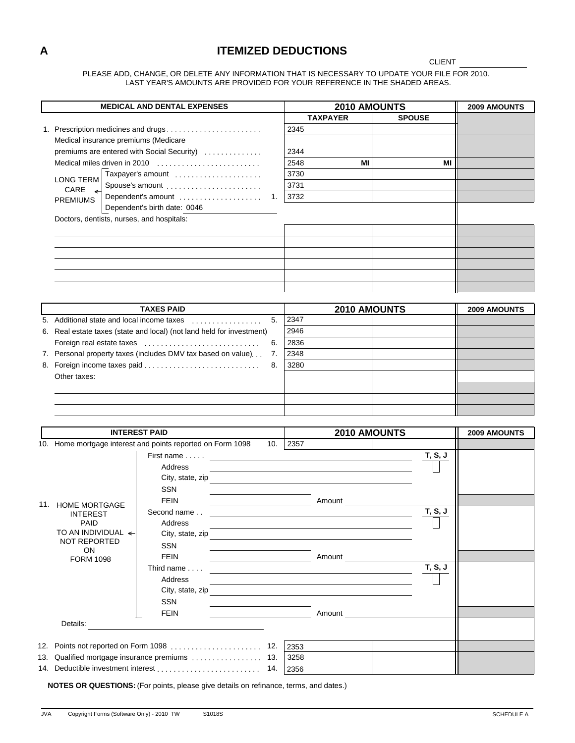### **A ITEMIZED DEDUCTIONS**

#### CLIENT

PLEASE ADD, CHANGE, OR DELETE ANY INFORMATION THAT IS NECESSARY TO UPDATE YOUR FILE FOR 2010. LAST YEAR'S AMOUNTS ARE PROVIDED FOR YOUR REFERENCE IN THE SHADED AREAS.

|                                           | <b>MEDICAL AND DENTAL EXPENSES</b>                                                                                                        |      | 2010 AMOUNTS                                          |               |                | 2009 AMOUNTS |
|-------------------------------------------|-------------------------------------------------------------------------------------------------------------------------------------------|------|-------------------------------------------------------|---------------|----------------|--------------|
|                                           |                                                                                                                                           |      | <b>TAXPAYER</b>                                       | <b>SPOUSE</b> |                |              |
|                                           | 1. Prescription medicines and drugs                                                                                                       | 2345 |                                                       |               |                |              |
| Medical insurance premiums (Medicare      |                                                                                                                                           |      |                                                       |               |                |              |
|                                           | premiums are entered with Social Security)                                                                                                | 2344 |                                                       |               |                |              |
|                                           | Medical miles driven in 2010                                                                                                              | 2548 | MI                                                    |               | MI             |              |
|                                           | Taxpayer's amount                                                                                                                         | 3730 |                                                       |               |                |              |
| <b>LONG TERM</b>                          |                                                                                                                                           | 3731 |                                                       |               |                |              |
| $CARE \leftarrow$                         | Spouse's amount                                                                                                                           |      |                                                       |               |                |              |
| <b>PREMIUMS</b>                           | Dependent's amount<br>1.                                                                                                                  | 3732 |                                                       |               |                |              |
|                                           | Dependent's birth date: 0046                                                                                                              |      |                                                       |               |                |              |
| Doctors, dentists, nurses, and hospitals: |                                                                                                                                           |      |                                                       |               |                |              |
|                                           |                                                                                                                                           |      |                                                       |               |                |              |
|                                           |                                                                                                                                           |      |                                                       |               |                |              |
|                                           |                                                                                                                                           |      |                                                       |               |                |              |
|                                           |                                                                                                                                           |      |                                                       |               |                |              |
|                                           |                                                                                                                                           |      |                                                       |               |                |              |
|                                           |                                                                                                                                           |      |                                                       |               |                |              |
|                                           |                                                                                                                                           |      |                                                       |               |                |              |
|                                           | <b>TAXES PAID</b>                                                                                                                         |      | 2010 AMOUNTS                                          |               |                | 2009 AMOUNTS |
|                                           | 5. Additional state and local income taxes<br>5.                                                                                          | 2347 |                                                       |               |                |              |
|                                           | 6. Real estate taxes (state and local) (not land held for investment)                                                                     | 2946 |                                                       |               |                |              |
|                                           | Foreign real estate taxes<br>6.                                                                                                           | 2836 |                                                       |               |                |              |
|                                           | 7. Personal property taxes (includes DMV tax based on value)<br>7.                                                                        | 2348 |                                                       |               |                |              |
|                                           | 8. Foreign income taxes paid<br>8.                                                                                                        | 3280 |                                                       |               |                |              |
| Other taxes:                              |                                                                                                                                           |      |                                                       |               |                |              |
|                                           |                                                                                                                                           |      |                                                       |               |                |              |
|                                           |                                                                                                                                           |      |                                                       |               |                |              |
|                                           |                                                                                                                                           |      |                                                       |               |                |              |
|                                           |                                                                                                                                           |      |                                                       |               |                |              |
| <b>INTEREST PAID</b>                      |                                                                                                                                           |      | 2010 AMOUNTS                                          |               |                | 2009 AMOUNTS |
|                                           | 10. Home mortgage interest and points reported on Form 1098<br>10.                                                                        | 2357 |                                                       |               |                |              |
|                                           |                                                                                                                                           |      |                                                       |               | T, S, J        |              |
|                                           |                                                                                                                                           |      |                                                       |               |                |              |
|                                           | Address                                                                                                                                   |      |                                                       |               |                |              |
|                                           | City, state, zip                                                                                                                          |      |                                                       |               |                |              |
|                                           | SSN                                                                                                                                       |      |                                                       |               |                |              |
| 11. HOME MORTGAGE                         | <b>FEIN</b>                                                                                                                               |      | Amount                                                |               |                |              |
| <b>INTEREST</b>                           | Second name                                                                                                                               |      |                                                       |               | T, S, J        |              |
| <b>PAID</b>                               | Address                                                                                                                                   |      |                                                       |               | ᄂ              |              |
| TO AN INDIVIDUAL <<br>NOT REPORTED        | City, state, zip<br><u>and the state of the state of the state of the state of the state of the state of the state of the state of th</u> |      |                                                       |               |                |              |
| ON                                        | SSN                                                                                                                                       |      |                                                       |               |                |              |
| <b>FORM 1098</b>                          | <b>FEIN</b><br><u> Albanya di Barat di Barat di Barat di Barat di Barat di Barat di Barat di Barat di Barat di Barat di Barat d</u>       |      | Amount                                                |               |                |              |
|                                           | Third name $\ldots$ .                                                                                                                     |      |                                                       |               | <b>T, S, J</b> |              |
|                                           | Address                                                                                                                                   |      |                                                       |               |                |              |
|                                           | City, state, zip                                                                                                                          |      | <u> 1989 - Johann Stein, fransk politik (f. 1989)</u> |               |                |              |
|                                           | SSN                                                                                                                                       |      |                                                       |               |                |              |
|                                           | <b>FEIN</b>                                                                                                                               |      | Amount                                                |               |                |              |
| Details:                                  |                                                                                                                                           |      |                                                       |               |                |              |
|                                           |                                                                                                                                           |      |                                                       |               |                |              |
|                                           |                                                                                                                                           | 2353 |                                                       |               |                |              |
|                                           | 13. Qualified mortgage insurance premiums  13.                                                                                            | 3258 |                                                       |               |                |              |
|                                           | 14. Deductible investment interest<br>14.                                                                                                 | 2356 |                                                       |               |                |              |

**NOTES OR QUESTIONS:** (For points, please give details on refinance, terms, and dates.)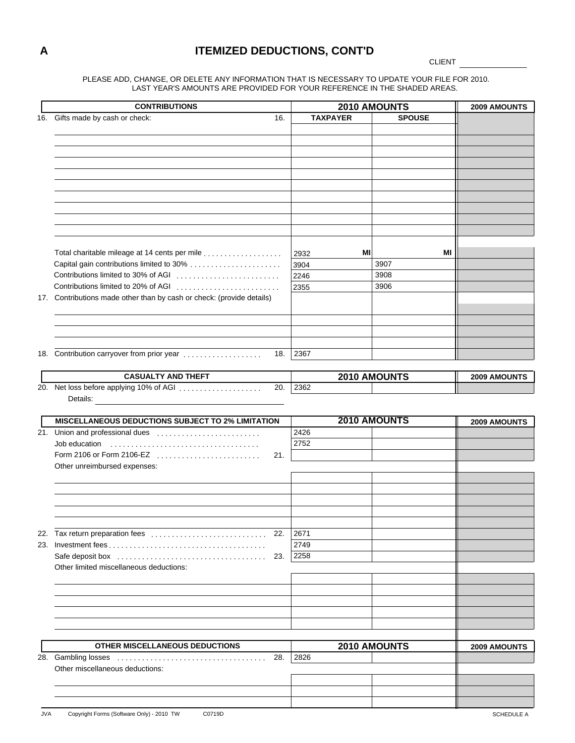### **A ITEMIZED DEDUCTIONS, CONT'D**

CLIENT

PLEASE ADD, CHANGE, OR DELETE ANY INFORMATION THAT IS NECESSARY TO UPDATE YOUR FILE FOR 2010. LAST YEAR'S AMOUNTS ARE PROVIDED FOR YOUR REFERENCE IN THE SHADED AREAS.

|     | <b>CONTRIBUTIONS</b>                                                  |                 | 2010 AMOUNTS  | 2009 AMOUNTS |
|-----|-----------------------------------------------------------------------|-----------------|---------------|--------------|
| 16. | Gifts made by cash or check:<br>16.                                   | <b>TAXPAYER</b> | <b>SPOUSE</b> |              |
|     |                                                                       |                 |               |              |
|     |                                                                       |                 |               |              |
|     |                                                                       |                 |               |              |
|     |                                                                       |                 |               |              |
|     |                                                                       |                 |               |              |
|     |                                                                       |                 |               |              |
|     |                                                                       |                 |               |              |
|     |                                                                       |                 |               |              |
|     |                                                                       |                 |               |              |
|     |                                                                       |                 |               |              |
|     |                                                                       |                 |               |              |
|     |                                                                       |                 |               |              |
|     | Total charitable mileage at 14 cents per mile                         | MI<br>2932      | MI            |              |
|     | Capital gain contributions limited to 30%                             | 3904            | 3907          |              |
|     | Contributions limited to 30% of AGI                                   | 2246            | 3908          |              |
|     | Contributions limited to 20% of AGI                                   | 2355            | 3906          |              |
|     |                                                                       |                 |               |              |
|     | 17. Contributions made other than by cash or check: (provide details) |                 |               |              |
|     |                                                                       |                 |               |              |
|     |                                                                       |                 |               |              |
|     |                                                                       |                 |               |              |
|     |                                                                       |                 |               |              |
|     | 18. Contribution carryover from prior year<br>18.                     | 2367            |               |              |
|     |                                                                       |                 |               |              |
|     | <b>CASUALTY AND THEFT</b>                                             |                 | 2010 AMOUNTS  | 2009 AMOUNTS |
|     | 20. Net loss before applying 10% of AGI<br>20.                        | 2362            |               |              |
|     | Details:                                                              |                 |               |              |
|     |                                                                       |                 |               |              |
|     | MISCELLANEOUS DEDUCTIONS SUBJECT TO 2% LIMITATION                     |                 | 2010 AMOUNTS  | 2009 AMOUNTS |
|     | 21. Union and professional dues                                       | 2426            |               |              |
|     | Job education                                                         | 2752            |               |              |
|     | Form 2106 or Form 2106-EZ<br>21.                                      |                 |               |              |
|     | Other unreimbursed expenses:                                          |                 |               |              |
|     |                                                                       |                 |               |              |
|     |                                                                       |                 |               |              |
|     |                                                                       |                 |               |              |
|     |                                                                       |                 |               |              |
|     |                                                                       |                 |               |              |
|     |                                                                       |                 |               |              |
|     | 22. Tax return preparation fees<br>22.                                | 2671            |               |              |
|     |                                                                       | 2749            |               |              |
|     | 23.                                                                   | 2258            |               |              |
|     | Other limited miscellaneous deductions:                               |                 |               |              |
|     |                                                                       |                 |               |              |
|     |                                                                       |                 |               |              |
|     |                                                                       |                 |               |              |
|     |                                                                       |                 |               |              |
|     |                                                                       |                 |               |              |
|     |                                                                       |                 |               |              |
|     |                                                                       |                 |               |              |
|     | OTHER MISCELLANEOUS DEDUCTIONS                                        |                 | 2010 AMOUNTS  | 2009 AMOUNTS |
|     | 28.                                                                   | 2826            |               |              |
|     |                                                                       |                 |               |              |
|     | Other miscellaneous deductions:                                       |                 |               |              |
|     |                                                                       |                 |               |              |
|     |                                                                       |                 |               |              |
|     |                                                                       |                 |               |              |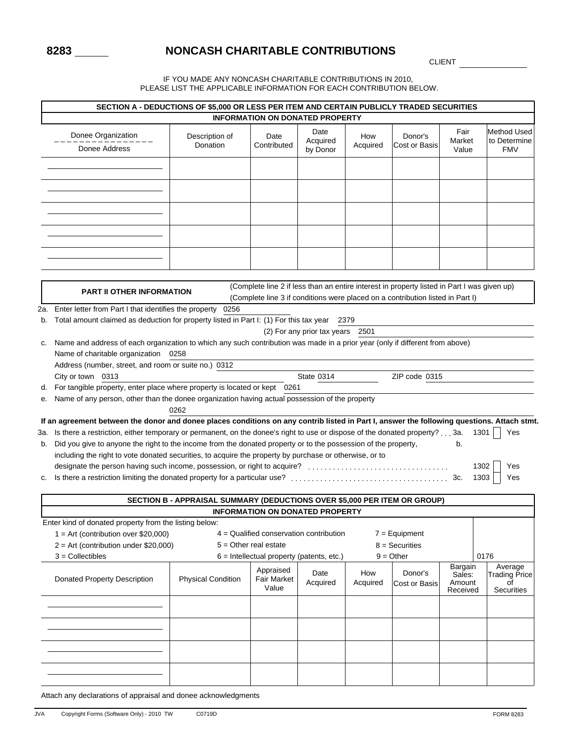# **8283 NONCASH CHARITABLE CONTRIBUTIONS**

CLIENT

IF YOU MADE ANY NONCASH CHARITABLE CONTRIBUTIONS IN 2010, PLEASE LIST THE APPLICABLE INFORMATION FOR EACH CONTRIBUTION BELOW.

|    |                                                                                                                                             | SECTION A - DEDUCTIONS OF \$5,000 OR LESS PER ITEM AND CERTAIN PUBLICLY TRADED SECURITIES |                                             |                                  |                 |                                                                                             |                             |                                                  |
|----|---------------------------------------------------------------------------------------------------------------------------------------------|-------------------------------------------------------------------------------------------|---------------------------------------------|----------------------------------|-----------------|---------------------------------------------------------------------------------------------|-----------------------------|--------------------------------------------------|
|    |                                                                                                                                             |                                                                                           | <b>INFORMATION ON DONATED PROPERTY</b>      |                                  |                 |                                                                                             |                             |                                                  |
|    | Donee Organization<br>Donee Address                                                                                                         | Description of<br>Donation                                                                | Date<br>Contributed                         | Date<br>Acquired<br>by Donor     | How<br>Acquired | Donor's<br>Cost or Basis                                                                    | Fair<br>Market<br>Value     | <b>Method Used</b><br>to Determine<br><b>FMV</b> |
|    |                                                                                                                                             |                                                                                           |                                             |                                  |                 |                                                                                             |                             |                                                  |
|    |                                                                                                                                             |                                                                                           |                                             |                                  |                 |                                                                                             |                             |                                                  |
|    |                                                                                                                                             |                                                                                           |                                             |                                  |                 |                                                                                             |                             |                                                  |
|    |                                                                                                                                             |                                                                                           |                                             |                                  |                 |                                                                                             |                             |                                                  |
|    |                                                                                                                                             |                                                                                           |                                             |                                  |                 |                                                                                             |                             |                                                  |
|    |                                                                                                                                             |                                                                                           |                                             |                                  |                 |                                                                                             |                             |                                                  |
|    |                                                                                                                                             |                                                                                           |                                             |                                  |                 |                                                                                             |                             |                                                  |
|    |                                                                                                                                             |                                                                                           |                                             |                                  |                 |                                                                                             |                             |                                                  |
|    |                                                                                                                                             |                                                                                           |                                             |                                  |                 | (Complete line 2 if less than an entire interest in property listed in Part I was given up) |                             |                                                  |
|    | <b>PART II OTHER INFORMATION</b>                                                                                                            |                                                                                           |                                             |                                  |                 | (Complete line 3 if conditions were placed on a contribution listed in Part I)              |                             |                                                  |
|    | 2a. Enter letter from Part I that identifies the property 0256                                                                              |                                                                                           |                                             |                                  |                 |                                                                                             |                             |                                                  |
|    | b. Total amount claimed as deduction for property listed in Part I: (1) For this tax year 2379                                              |                                                                                           |                                             |                                  |                 |                                                                                             |                             |                                                  |
|    |                                                                                                                                             |                                                                                           |                                             | (2) For any prior tax years 2501 |                 |                                                                                             |                             |                                                  |
| c. | Name and address of each organization to which any such contribution was made in a prior year (only if different from above)                |                                                                                           |                                             |                                  |                 |                                                                                             |                             |                                                  |
|    | Name of charitable organization 0258                                                                                                        |                                                                                           |                                             |                                  |                 |                                                                                             |                             |                                                  |
|    | Address (number, street, and room or suite no.) 0312<br>City or town 0313                                                                   |                                                                                           |                                             | <b>State 0314</b>                |                 | ZIP code 0315                                                                               |                             |                                                  |
| d. | For tangible property, enter place where property is located or kept 0261                                                                   |                                                                                           |                                             |                                  |                 |                                                                                             |                             |                                                  |
| е. | Name of any person, other than the donee organization having actual possession of the property                                              |                                                                                           |                                             |                                  |                 |                                                                                             |                             |                                                  |
|    |                                                                                                                                             | 0262                                                                                      |                                             |                                  |                 |                                                                                             |                             |                                                  |
|    | If an agreement between the donor and donee places conditions on any contrib listed in Part I, answer the following questions. Attach stmt. |                                                                                           |                                             |                                  |                 |                                                                                             |                             |                                                  |
|    | 3a. Is there a restriction, either temporary or permanent, on the donee's right to use or dispose of the donated property?3a.               |                                                                                           |                                             |                                  |                 |                                                                                             |                             | $1301$  <br>Yes                                  |
|    | b. Did you give to anyone the right to the income from the donated property or to the possession of the property,                           |                                                                                           |                                             |                                  |                 |                                                                                             | b.                          |                                                  |
|    | including the right to vote donated securities, to acquire the property by purchase or otherwise, or to                                     |                                                                                           |                                             |                                  |                 |                                                                                             |                             |                                                  |
|    | designate the person having such income, possession, or right to acquire?                                                                   |                                                                                           |                                             |                                  |                 |                                                                                             | 1302                        | Yes                                              |
| c. |                                                                                                                                             |                                                                                           |                                             |                                  |                 |                                                                                             | 1303                        | Yes                                              |
|    |                                                                                                                                             | SECTION B - APPRAISAL SUMMARY (DEDUCTIONS OVER \$5,000 PER ITEM OR GROUP)                 |                                             |                                  |                 |                                                                                             |                             |                                                  |
|    |                                                                                                                                             |                                                                                           | <b>INFORMATION ON DONATED PROPERTY</b>      |                                  |                 |                                                                                             |                             |                                                  |
|    | Enter kind of donated property from the listing below:                                                                                      |                                                                                           |                                             |                                  |                 |                                                                                             |                             |                                                  |
|    | $1 = Art$ (contribution over \$20,000)                                                                                                      |                                                                                           | $4 =$ Qualified conservation contribution   |                                  |                 | $7 =$ Equipment                                                                             |                             |                                                  |
|    | $2 = Art$ (contribution under \$20,000)                                                                                                     |                                                                                           | $5 =$ Other real estate                     |                                  |                 | $8 =$ Securities                                                                            |                             |                                                  |
|    | $3 =$ Collectibles                                                                                                                          |                                                                                           | $6$ = Intellectual property (patents, etc.) |                                  |                 | $9 = Other$                                                                                 | 0176                        |                                                  |
|    | Donated Property Description                                                                                                                | <b>Physical Condition</b>                                                                 | Appraised<br>Fair Market<br>Value           | Date<br>Acquired                 | How<br>Acquired | Donor's<br>Cost or Basis                                                                    | Bargain<br>Sales:<br>Amount | Average<br><b>Trading Price</b><br>οf            |
|    |                                                                                                                                             |                                                                                           |                                             |                                  |                 |                                                                                             | Received                    | <b>Securities</b>                                |
|    |                                                                                                                                             |                                                                                           |                                             |                                  |                 |                                                                                             |                             |                                                  |
|    |                                                                                                                                             |                                                                                           |                                             |                                  |                 |                                                                                             |                             |                                                  |
|    |                                                                                                                                             |                                                                                           |                                             |                                  |                 |                                                                                             |                             |                                                  |
|    |                                                                                                                                             |                                                                                           |                                             |                                  |                 |                                                                                             |                             |                                                  |
|    |                                                                                                                                             |                                                                                           |                                             |                                  |                 |                                                                                             |                             |                                                  |
|    |                                                                                                                                             |                                                                                           |                                             |                                  |                 |                                                                                             |                             |                                                  |

Attach any declarations of appraisal and donee acknowledgments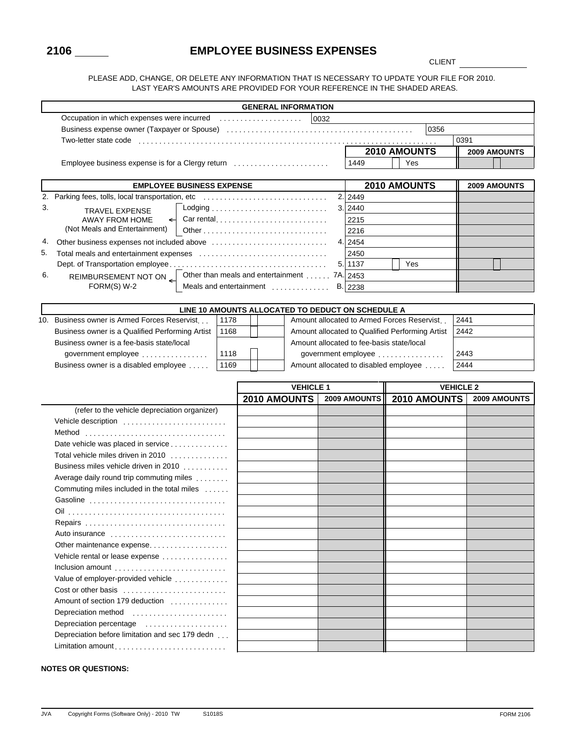### **2106 EMPLOYEE BUSINESS EXPENSES**

**CLIENT** 

PLEASE ADD, CHANGE, OR DELETE ANY INFORMATION THAT IS NECESSARY TO UPDATE YOUR FILE FOR 2010. LAST YEAR'S AMOUNTS ARE PROVIDED FOR YOUR REFERENCE IN THE SHADED AREAS.

|    |                                                                                                                |      |  | <b>GENERAL INFORMATION</b>                   |      |                                                   |                                                 |                  |                     |
|----|----------------------------------------------------------------------------------------------------------------|------|--|----------------------------------------------|------|---------------------------------------------------|-------------------------------------------------|------------------|---------------------|
|    | Occupation in which expenses were incurred                                                                     |      |  |                                              | 0032 |                                                   |                                                 |                  |                     |
|    |                                                                                                                |      |  |                                              |      |                                                   | 0356                                            |                  |                     |
|    | Two-letter state code entertainment code and code code code and contact the code of the code and code and code |      |  |                                              |      |                                                   |                                                 | 0391             |                     |
|    |                                                                                                                |      |  |                                              |      |                                                   | 2010 AMOUNTS                                    |                  | 2009 AMOUNTS        |
|    | Employee business expense is for a Clergy return                                                               |      |  |                                              |      | 1449                                              | Yes                                             |                  |                     |
|    |                                                                                                                |      |  |                                              |      |                                                   |                                                 |                  |                     |
|    | <b>EMPLOYEE BUSINESS EXPENSE</b>                                                                               |      |  |                                              |      |                                                   | 2010 AMOUNTS                                    |                  | 2009 AMOUNTS        |
|    | 2. Parking fees, tolls, local transportation, etc                                                              |      |  |                                              |      | 2. 2449                                           |                                                 |                  |                     |
| 3. | <b>TRAVEL EXPENSE</b>                                                                                          |      |  |                                              |      | 3. 2440                                           |                                                 |                  |                     |
|    | <b>AWAY FROM HOME</b><br>$\leftarrow$                                                                          |      |  | Car rental                                   |      | 2215                                              |                                                 |                  |                     |
|    | (Not Meals and Entertainment)                                                                                  |      |  |                                              |      | 2216                                              |                                                 |                  |                     |
| 4. |                                                                                                                |      |  |                                              |      | 4. 2454                                           |                                                 |                  |                     |
| 5. |                                                                                                                |      |  |                                              |      | 2450                                              |                                                 |                  |                     |
|    |                                                                                                                |      |  |                                              | 5.1  | 1137                                              | Yes                                             |                  |                     |
| 6. | REIMBURSEMENT NOT ON                                                                                           |      |  | Other than meals and entertainment  7A. 2453 |      |                                                   |                                                 |                  |                     |
|    | FORM(S) W-2                                                                                                    |      |  | Meals and entertainment                      |      | B. 2238                                           |                                                 |                  |                     |
|    |                                                                                                                |      |  |                                              |      |                                                   |                                                 |                  |                     |
|    |                                                                                                                |      |  |                                              |      | LINE 10 AMOUNTS ALLOCATED TO DEDUCT ON SCHEDULE A |                                                 |                  |                     |
|    | 10. Business owner is Armed Forces Reservist                                                                   | 1178 |  |                                              |      |                                                   | Amount allocated to Armed Forces Reservist      | 2441             |                     |
|    | Business owner is a Qualified Performing Artist                                                                | 1168 |  |                                              |      |                                                   | Amount allocated to Qualified Performing Artist | 2442             |                     |
|    | Business owner is a fee-basis state/local                                                                      |      |  |                                              |      |                                                   | Amount allocated to fee-basis state/local       |                  |                     |
|    | government employee                                                                                            | 1118 |  |                                              |      |                                                   | government employee                             | 2443             |                     |
|    | Business owner is a disabled employee                                                                          | 1169 |  |                                              |      |                                                   | Amount allocated to disabled employee           | 2444             |                     |
|    |                                                                                                                |      |  | <b>VEHICLE 1</b>                             |      |                                                   |                                                 | <b>VEHICLE 2</b> |                     |
|    |                                                                                                                |      |  | 2010 AMOUNTS                                 |      | 2009 AMOUNTS                                      | 2010 AMOUNTS                                    |                  | <b>2009 AMOUNTS</b> |
|    | (refer to the vehicle depreciation organizer)                                                                  |      |  |                                              |      |                                                   |                                                 |                  |                     |
|    | Vehicle description                                                                                            |      |  |                                              |      |                                                   |                                                 |                  |                     |
|    | Method                                                                                                         |      |  |                                              |      |                                                   |                                                 |                  |                     |
|    | Date vehicle was placed in service                                                                             |      |  |                                              |      |                                                   |                                                 |                  |                     |
|    | Total vehicle miles driven in 2010                                                                             |      |  |                                              |      |                                                   |                                                 |                  |                     |
|    | Business miles vehicle driven in 2010                                                                          |      |  |                                              |      |                                                   |                                                 |                  |                     |
|    | Average daily round trip commuting miles                                                                       |      |  |                                              |      |                                                   |                                                 |                  |                     |
|    | Commuting miles included in the total miles                                                                    |      |  |                                              |      |                                                   |                                                 |                  |                     |
|    | Gasoline                                                                                                       |      |  |                                              |      |                                                   |                                                 |                  |                     |
|    |                                                                                                                |      |  |                                              |      |                                                   |                                                 |                  |                     |
|    | Repairs                                                                                                        |      |  |                                              |      |                                                   |                                                 |                  |                     |
|    | Auto insurance                                                                                                 |      |  |                                              |      |                                                   |                                                 |                  |                     |
|    | Other maintenance expense                                                                                      |      |  |                                              |      |                                                   |                                                 |                  |                     |
|    | Vehicle rental or lease expense                                                                                |      |  |                                              |      |                                                   |                                                 |                  |                     |
|    | Inclusion amount                                                                                               |      |  |                                              |      |                                                   |                                                 |                  |                     |
|    | Value of employer-provided vehicle                                                                             |      |  |                                              |      |                                                   |                                                 |                  |                     |
|    | Cost or other basis                                                                                            |      |  |                                              |      |                                                   |                                                 |                  |                     |
|    | Amount of section 179 deduction                                                                                |      |  |                                              |      |                                                   |                                                 |                  |                     |
|    | Depreciation method                                                                                            |      |  |                                              |      |                                                   |                                                 |                  |                     |
|    | Depreciation percentage                                                                                        |      |  |                                              |      |                                                   |                                                 |                  |                     |
|    | Depreciation before limitation and sec 179 dedn                                                                |      |  |                                              |      |                                                   |                                                 |                  |                     |
|    | Limitation amount                                                                                              |      |  |                                              |      |                                                   |                                                 |                  |                     |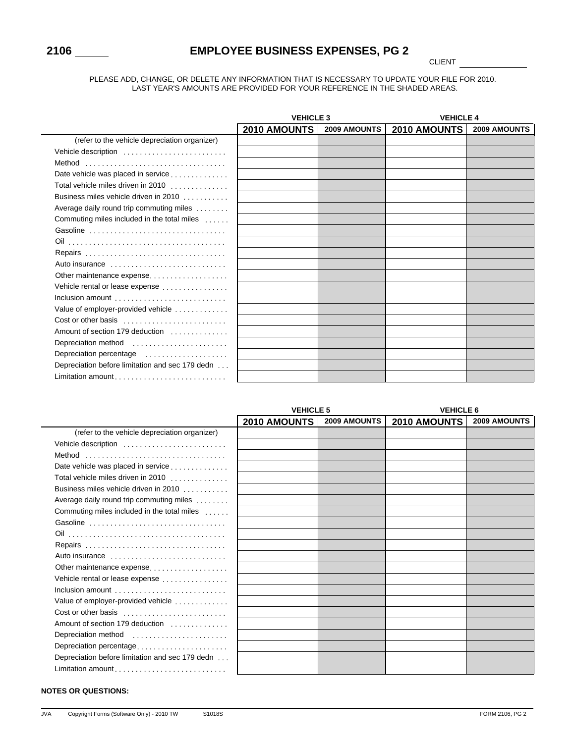$\overline{\phantom{0}}$ 

# **2106 EMPLOYEE BUSINESS EXPENSES, PG 2**

**CLIENT** 

#### PLEASE ADD, CHANGE, OR DELETE ANY INFORMATION THAT IS NECESSARY TO UPDATE YOUR FILE FOR 2010. LAST YEAR'S AMOUNTS ARE PROVIDED FOR YOUR REFERENCE IN THE SHADED AREAS.

|                                                 | <b>VEHICLE 3</b> |              | <b>VEHICLE 4</b> |                     |
|-------------------------------------------------|------------------|--------------|------------------|---------------------|
|                                                 | 2010 AMOUNTS     | 2009 AMOUNTS | 2010 AMOUNTS     | <b>2009 AMOUNTS</b> |
| (refer to the vehicle depreciation organizer)   |                  |              |                  |                     |
| Vehicle description                             |                  |              |                  |                     |
| Method                                          |                  |              |                  |                     |
| Date vehicle was placed in service              |                  |              |                  |                     |
| Total vehicle miles driven in 2010              |                  |              |                  |                     |
| Business miles vehicle driven in 2010           |                  |              |                  |                     |
| Average daily round trip commuting miles        |                  |              |                  |                     |
| Commuting miles included in the total miles     |                  |              |                  |                     |
| Gasoline                                        |                  |              |                  |                     |
|                                                 |                  |              |                  |                     |
| Repairs                                         |                  |              |                  |                     |
| Auto insurance                                  |                  |              |                  |                     |
| Other maintenance expense                       |                  |              |                  |                     |
| Vehicle rental or lease expense                 |                  |              |                  |                     |
| Inclusion amount                                |                  |              |                  |                     |
| Value of employer-provided vehicle              |                  |              |                  |                     |
| Cost or other basis                             |                  |              |                  |                     |
| Amount of section 179 deduction                 |                  |              |                  |                     |
| Depreciation method                             |                  |              |                  |                     |
| Depreciation percentage                         |                  |              |                  |                     |
| Depreciation before limitation and sec 179 dedn |                  |              |                  |                     |
| Limitation amount                               |                  |              |                  |                     |

|                                                 | <b>VEHICLE 5</b>    |                     | <b>VEHICLE 6</b>    |                     |
|-------------------------------------------------|---------------------|---------------------|---------------------|---------------------|
|                                                 | <b>2010 AMOUNTS</b> | <b>2009 AMOUNTS</b> | <b>2010 AMOUNTS</b> | <b>2009 AMOUNTS</b> |
| (refer to the vehicle depreciation organizer)   |                     |                     |                     |                     |
| Vehicle description                             |                     |                     |                     |                     |
| Method                                          |                     |                     |                     |                     |
| Date vehicle was placed in service              |                     |                     |                     |                     |
| Total vehicle miles driven in 2010              |                     |                     |                     |                     |
| Business miles vehicle driven in 2010           |                     |                     |                     |                     |
| Average daily round trip commuting miles        |                     |                     |                     |                     |
| Commuting miles included in the total miles     |                     |                     |                     |                     |
| Gasoline                                        |                     |                     |                     |                     |
|                                                 |                     |                     |                     |                     |
| Repairs                                         |                     |                     |                     |                     |
| Auto insurance                                  |                     |                     |                     |                     |
| Other maintenance expense                       |                     |                     |                     |                     |
| Vehicle rental or lease expense                 |                     |                     |                     |                     |
| Inclusion amount                                |                     |                     |                     |                     |
| Value of employer-provided vehicle              |                     |                     |                     |                     |
| Cost or other basis                             |                     |                     |                     |                     |
| Amount of section 179 deduction                 |                     |                     |                     |                     |
| Depreciation method                             |                     |                     |                     |                     |
| Depreciation percentage                         |                     |                     |                     |                     |
| Depreciation before limitation and sec 179 dedn |                     |                     |                     |                     |
|                                                 |                     |                     |                     |                     |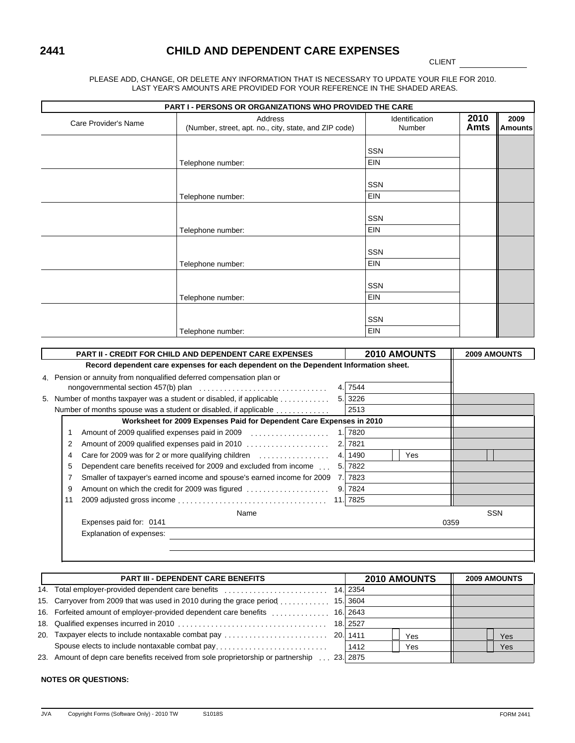# **2441 CHILD AND DEPENDENT CARE EXPENSES**

CLIENT <u>\_\_\_\_\_\_</u>

PLEASE ADD, CHANGE, OR DELETE ANY INFORMATION THAT IS NECESSARY TO UPDATE YOUR FILE FOR 2010. LAST YEAR'S AMOUNTS ARE PROVIDED FOR YOUR REFERENCE IN THE SHADED AREAS.

|                      | <b>PART I - PERSONS OR ORGANIZATIONS WHO PROVIDED THE CARE</b>   |                          |                     |                        |
|----------------------|------------------------------------------------------------------|--------------------------|---------------------|------------------------|
| Care Provider's Name | Address<br>(Number, street, apt. no., city, state, and ZIP code) | Identification<br>Number | 2010<br><b>Amts</b> | 2009<br><b>Amounts</b> |
|                      |                                                                  |                          |                     |                        |
|                      |                                                                  | SSN                      |                     |                        |
|                      | Telephone number:                                                | EIN                      |                     |                        |
|                      |                                                                  | SSN                      |                     |                        |
|                      | Telephone number:                                                | EIN                      |                     |                        |
|                      |                                                                  |                          |                     |                        |
|                      |                                                                  | SSN                      |                     |                        |
|                      | Telephone number:                                                | EIN                      |                     |                        |
|                      |                                                                  | <b>SSN</b>               |                     |                        |
|                      | Telephone number:                                                | EIN                      |                     |                        |
|                      |                                                                  | SSN                      |                     |                        |
|                      |                                                                  |                          |                     |                        |
|                      | Telephone number:                                                | EIN                      |                     |                        |
|                      |                                                                  | <b>SSN</b>               |                     |                        |
|                      | Telephone number:                                                | EIN                      |                     |                        |

|    | <b>PART II - CREDIT FOR CHILD AND DEPENDENT CARE EXPENSES</b>                         |     | <b>2010 AMOUNTS</b> |      | <b>2009 AMOUNTS</b> |
|----|---------------------------------------------------------------------------------------|-----|---------------------|------|---------------------|
|    | Record dependent care expenses for each dependent on the Dependent Information sheet. |     |                     |      |                     |
|    | 4. Pension or annuity from nongualified deferred compensation plan or                 |     |                     |      |                     |
|    |                                                                                       | 4.1 | 7544                |      |                     |
|    | 5. Number of months taxpayer was a student or disabled, if applicable                 |     | 5. 3226             |      |                     |
|    | Number of months spouse was a student or disabled, if applicable                      |     | 2513                |      |                     |
|    | Worksheet for 2009 Expenses Paid for Dependent Care Expenses in 2010                  |     |                     |      |                     |
|    | Amount of 2009 qualified expenses paid in 2009                                        | 1.I | 7820                |      |                     |
| 2  | Amount of 2009 qualified expenses paid in 2010                                        | 2.1 | 7821                |      |                     |
| 4  | Care for 2009 was for 2 or more qualifying children $\ldots$ , $\ldots$ , $\ldots$ ,  | 4.1 | 1490<br>Yes         |      |                     |
| 5  | Dependent care benefits received for 2009 and excluded from income                    | 5.  | 7822                |      |                     |
|    | Smaller of taxpayer's earned income and spouse's earned income for 2009               | 7.1 | 7823                |      |                     |
| 9  | Amount on which the credit for 2009 was figured                                       | 9.  | 7824                |      |                     |
| 11 |                                                                                       |     | 11.7825             |      |                     |
|    | Name                                                                                  |     |                     |      | <b>SSN</b>          |
|    | Expenses paid for: 0141                                                               |     |                     | 0359 |                     |
|    | Explanation of expenses:                                                              |     |                     |      |                     |
|    |                                                                                       |     |                     |      |                     |
|    |                                                                                       |     |                     |      |                     |

|     | <b>PART III - DEPENDENT CARE BENEFITS</b>                                              | <b>2010 AMOUNTS</b> | <b>2009 AMOUNTS</b> |
|-----|----------------------------------------------------------------------------------------|---------------------|---------------------|
|     |                                                                                        | 14. 2354            |                     |
|     | 15. Carryover from 2009 that was used in 2010 during the grace period                  | 15. 3604            |                     |
|     | 16. Forfeited amount of employer-provided dependent care benefits                      | 16. 2643            |                     |
|     |                                                                                        | 18. 2527            |                     |
| 20. |                                                                                        | Yes                 | <b>Yes</b>          |
|     | Spouse elects to include nontaxable combat pay                                         | 1412<br>Yes         | Yes                 |
| 23. | Amount of depn care benefits received from sole proprietorship or partnership 23. 2875 |                     |                     |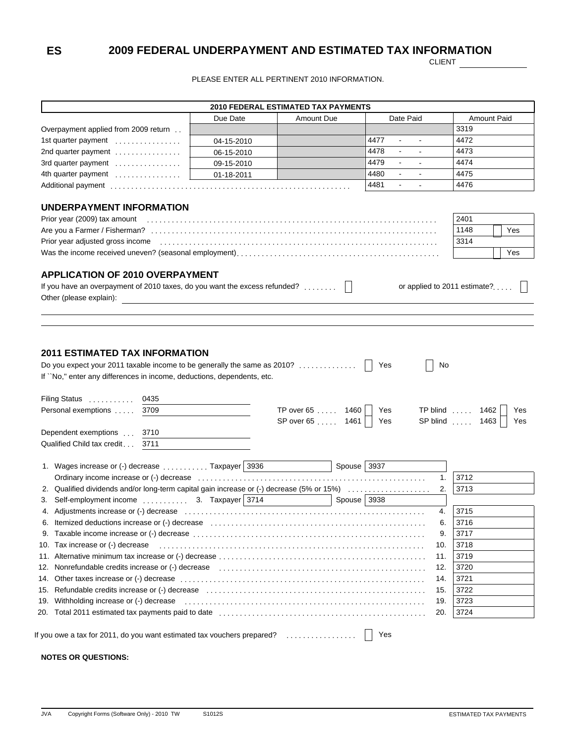### **ES 2009 FEDERAL UNDERPAYMENT AND ESTIMATED TAX INFORMATION**

**CLIENT** 

PLEASE ENTER ALL PERTINENT 2010 INFORMATION.

|                                                                                                                                                                                                                                                                                                                                                                                                                                                                                                                                                                                                                                                                                                           |            | <b>2010 FEDERAL ESTIMATED TAX PAYMENTS</b> |             |                |                            |                              |
|-----------------------------------------------------------------------------------------------------------------------------------------------------------------------------------------------------------------------------------------------------------------------------------------------------------------------------------------------------------------------------------------------------------------------------------------------------------------------------------------------------------------------------------------------------------------------------------------------------------------------------------------------------------------------------------------------------------|------------|--------------------------------------------|-------------|----------------|----------------------------|------------------------------|
|                                                                                                                                                                                                                                                                                                                                                                                                                                                                                                                                                                                                                                                                                                           | Due Date   | <b>Amount Due</b>                          |             | Date Paid      |                            | Amount Paid                  |
| Overpayment applied from 2009 return.                                                                                                                                                                                                                                                                                                                                                                                                                                                                                                                                                                                                                                                                     |            |                                            |             |                | 3319                       |                              |
| 1st quarter payment                                                                                                                                                                                                                                                                                                                                                                                                                                                                                                                                                                                                                                                                                       | 04-15-2010 |                                            | 4477        | $\blacksquare$ | 4472                       |                              |
| 2nd quarter payment                                                                                                                                                                                                                                                                                                                                                                                                                                                                                                                                                                                                                                                                                       | 06-15-2010 |                                            | 4478        | $\blacksquare$ | 4473                       |                              |
| 3rd quarter payment                                                                                                                                                                                                                                                                                                                                                                                                                                                                                                                                                                                                                                                                                       | 09-15-2010 |                                            | 4479        | $\blacksquare$ | 4474                       |                              |
| 4th quarter payment                                                                                                                                                                                                                                                                                                                                                                                                                                                                                                                                                                                                                                                                                       | 01-18-2011 |                                            | 4480        | $\blacksquare$ | 4475                       |                              |
|                                                                                                                                                                                                                                                                                                                                                                                                                                                                                                                                                                                                                                                                                                           |            |                                            | 4481        | $\blacksquare$ | 4476                       |                              |
| <b>UNDERPAYMENT INFORMATION</b>                                                                                                                                                                                                                                                                                                                                                                                                                                                                                                                                                                                                                                                                           |            |                                            |             |                |                            |                              |
| Prior year (2009) tax amount                                                                                                                                                                                                                                                                                                                                                                                                                                                                                                                                                                                                                                                                              |            |                                            |             |                | 2401                       |                              |
|                                                                                                                                                                                                                                                                                                                                                                                                                                                                                                                                                                                                                                                                                                           |            |                                            |             |                | 1148                       | Yes                          |
| Prior year adjusted gross income                                                                                                                                                                                                                                                                                                                                                                                                                                                                                                                                                                                                                                                                          |            |                                            |             |                | 3314                       |                              |
|                                                                                                                                                                                                                                                                                                                                                                                                                                                                                                                                                                                                                                                                                                           |            |                                            |             |                |                            | Yes                          |
|                                                                                                                                                                                                                                                                                                                                                                                                                                                                                                                                                                                                                                                                                                           |            |                                            |             |                |                            |                              |
| If you have an overpayment of 2010 taxes, do you want the excess refunded?     <br>Other (please explain):                                                                                                                                                                                                                                                                                                                                                                                                                                                                                                                                                                                                |            |                                            |             |                |                            | or applied to 2011 estimate? |
|                                                                                                                                                                                                                                                                                                                                                                                                                                                                                                                                                                                                                                                                                                           |            |                                            |             |                |                            |                              |
| <b>2011 ESTIMATED TAX INFORMATION</b>                                                                                                                                                                                                                                                                                                                                                                                                                                                                                                                                                                                                                                                                     |            |                                            |             |                |                            |                              |
| 0435                                                                                                                                                                                                                                                                                                                                                                                                                                                                                                                                                                                                                                                                                                      |            |                                            | Yes         | $\mathsf{I}$   | No                         |                              |
| 3709                                                                                                                                                                                                                                                                                                                                                                                                                                                                                                                                                                                                                                                                                                      |            | TP over 65 1460                            | Yes         |                | TP blind  1462             | Yes                          |
|                                                                                                                                                                                                                                                                                                                                                                                                                                                                                                                                                                                                                                                                                                           |            | SP over 65  1461                           | Yes         |                | SP blind  1463             | Yes                          |
| 3710                                                                                                                                                                                                                                                                                                                                                                                                                                                                                                                                                                                                                                                                                                      |            |                                            |             |                |                            |                              |
| 3711                                                                                                                                                                                                                                                                                                                                                                                                                                                                                                                                                                                                                                                                                                      |            |                                            |             |                |                            |                              |
|                                                                                                                                                                                                                                                                                                                                                                                                                                                                                                                                                                                                                                                                                                           |            |                                            | Spouse 3937 |                |                            |                              |
|                                                                                                                                                                                                                                                                                                                                                                                                                                                                                                                                                                                                                                                                                                           |            |                                            |             |                | 3712<br>1 <sub>1</sub>     |                              |
|                                                                                                                                                                                                                                                                                                                                                                                                                                                                                                                                                                                                                                                                                                           |            |                                            |             |                | 3713<br>2.                 |                              |
| Self-employment income  3. Taxpayer 3714                                                                                                                                                                                                                                                                                                                                                                                                                                                                                                                                                                                                                                                                  |            |                                            | Spouse 3938 |                |                            |                              |
|                                                                                                                                                                                                                                                                                                                                                                                                                                                                                                                                                                                                                                                                                                           |            |                                            |             |                | 3715<br>4.                 |                              |
|                                                                                                                                                                                                                                                                                                                                                                                                                                                                                                                                                                                                                                                                                                           |            |                                            |             |                | 3716<br>6.                 |                              |
|                                                                                                                                                                                                                                                                                                                                                                                                                                                                                                                                                                                                                                                                                                           |            |                                            |             |                | 3717<br>9.                 |                              |
|                                                                                                                                                                                                                                                                                                                                                                                                                                                                                                                                                                                                                                                                                                           |            |                                            |             |                | 10.                        |                              |
|                                                                                                                                                                                                                                                                                                                                                                                                                                                                                                                                                                                                                                                                                                           |            |                                            |             |                | 3718<br>3719<br>11.        |                              |
|                                                                                                                                                                                                                                                                                                                                                                                                                                                                                                                                                                                                                                                                                                           |            |                                            |             |                | 12.                        |                              |
| Nonrefundable credits increase or (-) decrease example and contain an array and contain a series of the credit                                                                                                                                                                                                                                                                                                                                                                                                                                                                                                                                                                                            |            |                                            |             |                | 3720                       |                              |
|                                                                                                                                                                                                                                                                                                                                                                                                                                                                                                                                                                                                                                                                                                           |            |                                            |             |                | 3721<br>14.                |                              |
|                                                                                                                                                                                                                                                                                                                                                                                                                                                                                                                                                                                                                                                                                                           |            |                                            |             |                | 3722<br>15.                |                              |
| Do you expect your 2011 taxable income to be generally the same as 2010?<br>If ``No," enter any differences in income, deductions, dependents, etc.<br>Filing Status<br>Personal exemptions<br>Dependent exemptions<br>Qualified Child tax credit<br>1. Wages increase or (-) decrease  Taxpayer 3936<br>2. Qualified dividends and/or long-term capital gain increase or (-) decrease (5% or 15%)<br>3.<br>10. Tax increase or (-) decrease<br>12.<br>14.<br>15.<br>Withholding increase or (-) decrease entitled as the contract of the contract of the contract of the contract of the contract of the contract of the contract of the contract of the contract of the contract of the contract<br>19. |            |                                            |             |                | 19.<br>3723<br>3724<br>20. |                              |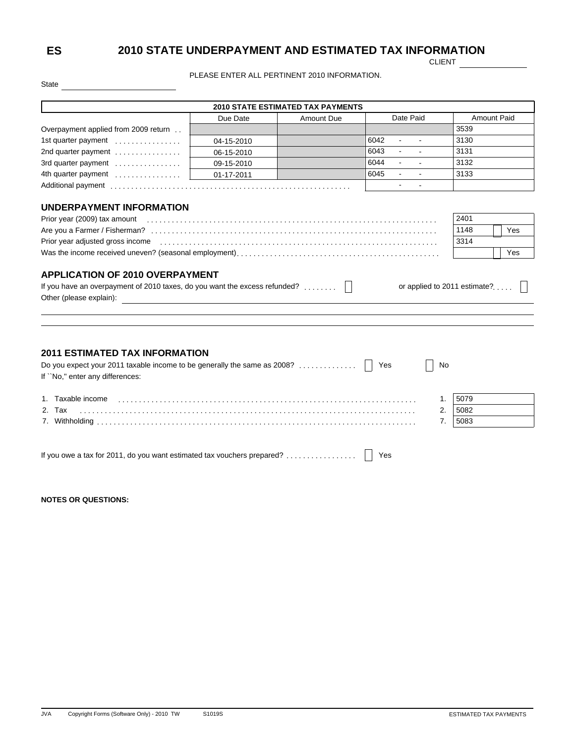# **ES 2010 STATE UNDERPAYMENT AND ESTIMATED TAX INFORMATION**

CLIENT

PLEASE ENTER ALL PERTINENT 2010 INFORMATION.

|                                                                                                                                                                                                                                |            | <b>2010 STATE ESTIMATED TAX PAYMENTS</b> |                                                   |                                   |
|--------------------------------------------------------------------------------------------------------------------------------------------------------------------------------------------------------------------------------|------------|------------------------------------------|---------------------------------------------------|-----------------------------------|
|                                                                                                                                                                                                                                | Due Date   | <b>Amount Due</b>                        | Date Paid                                         | <b>Amount Paid</b>                |
| Overpayment applied from 2009 return.                                                                                                                                                                                          |            |                                          |                                                   | 3539                              |
| 1st quarter payment                                                                                                                                                                                                            | 04-15-2010 |                                          | 6042<br>$\sim$<br>$\sim$                          | 3130                              |
| 2nd quarter payment                                                                                                                                                                                                            | 06-15-2010 |                                          | 6043<br>$\Delta \sim 10^{11}$ m $^{-1}$<br>$\sim$ | 3131                              |
| 3rd quarter payment                                                                                                                                                                                                            | 09-15-2010 |                                          | 6044<br>$\sim$                                    | 3132                              |
| 4th quarter payment                                                                                                                                                                                                            | 01-17-2011 |                                          | 6045<br>$\sim$<br>$\sim$                          | 3133                              |
|                                                                                                                                                                                                                                |            |                                          | $\sim$                                            |                                   |
| Prior year (2009) tax amount encourance contains a series of the control of the control of the control of the control of the control of the control of the control of the control of the control of the control of the control |            |                                          |                                                   | 2401<br>1148<br>Yes               |
|                                                                                                                                                                                                                                |            |                                          |                                                   |                                   |
|                                                                                                                                                                                                                                |            |                                          |                                                   |                                   |
|                                                                                                                                                                                                                                |            |                                          |                                                   | 3314                              |
| Was the income received uneven? (seasonal employment), $\ldots$ , $\ldots$ , $\ldots$ , $\ldots$ , $\ldots$ , $\ldots$ , $\ldots$ , $\ldots$ , $\ldots$ , $\ldots$ , $\ldots$                                                  |            |                                          |                                                   | Yes                               |
| <b>APPLICATION OF 2010 OVERPAYMENT</b><br>If you have an overpayment of 2010 taxes, do you want the excess refunded? $\ldots \ldots$                                                                                           |            |                                          |                                                   | or applied to 2011 estimate? $  $ |
| Other (please explain):                                                                                                                                                                                                        |            |                                          |                                                   |                                   |
|                                                                                                                                                                                                                                |            |                                          |                                                   |                                   |
|                                                                                                                                                                                                                                |            |                                          |                                                   |                                   |
|                                                                                                                                                                                                                                |            |                                          |                                                   |                                   |
|                                                                                                                                                                                                                                |            |                                          |                                                   |                                   |
| <b>2011 ESTIMATED TAX INFORMATION</b>                                                                                                                                                                                          |            |                                          |                                                   |                                   |
| Do you expect your 2011 taxable income to be generally the same as 2008?<br>If "No," enter any differences:                                                                                                                    |            |                                          | Yes<br>No                                         |                                   |
| 1. Taxable income                                                                                                                                                                                                              |            |                                          | 1.                                                | 5079                              |

| <u>L.</u> | $\sim$<br>i dX<br>. | 5082 |
|-----------|---------------------|------|
|           | Withholding<br>.    | 508  |

| If you owe a tax for 2011, do you want estimated tax vouchers prepared?    Yes |  |
|--------------------------------------------------------------------------------|--|
|--------------------------------------------------------------------------------|--|

**NOTES OR QUESTIONS:**

State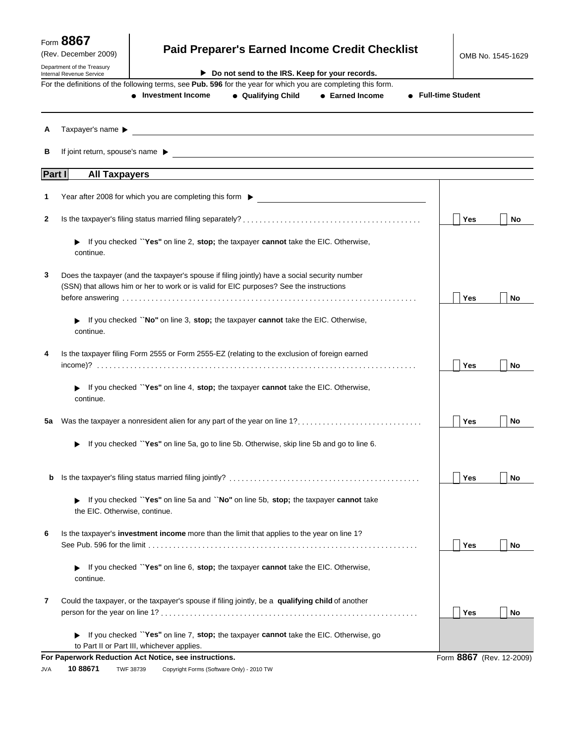| (Rev. December 2009)<br>Department of the Treasury |                                            |                                                                                                                                                                                                                                                                                                                           |                                                | <b>Paid Preparer's Earned Income Credit Checklist</b>              |                     | OMB No. 1545-1629        |           |
|----------------------------------------------------|--------------------------------------------|---------------------------------------------------------------------------------------------------------------------------------------------------------------------------------------------------------------------------------------------------------------------------------------------------------------------------|------------------------------------------------|--------------------------------------------------------------------|---------------------|--------------------------|-----------|
| Internal Revenue Service                           |                                            |                                                                                                                                                                                                                                                                                                                           | Do not send to the IRS. Keep for your records. |                                                                    |                     |                          |           |
|                                                    |                                            | For the definitions of the following terms, see Pub. 596 for the year for which you are completing this form.<br>• Investment Income                                                                                                                                                                                      | • Qualifying Child                             | • Earned Income                                                    | • Full-time Student |                          |           |
| А                                                  | Taxpayer's name $\blacktriangleright$      | <u> 1989 - Johann Stoff, deutscher Stoffen und der Stoffen und der Stoffen und der Stoffen und der Stoffen und der</u>                                                                                                                                                                                                    |                                                |                                                                    |                     |                          |           |
| в                                                  |                                            |                                                                                                                                                                                                                                                                                                                           |                                                |                                                                    |                     |                          |           |
| Part I                                             | <b>All Taxpayers</b>                       |                                                                                                                                                                                                                                                                                                                           |                                                |                                                                    |                     |                          |           |
| 1                                                  |                                            | Year after 2008 for which you are completing this form $\blacktriangleright$                                                                                                                                                                                                                                              |                                                | <u> 1980 - Jan Samuel Barbara, margaret eta idazlea (h. 1980).</u> |                     |                          |           |
| 2                                                  |                                            |                                                                                                                                                                                                                                                                                                                           |                                                |                                                                    |                     | Yes                      | No        |
|                                                    | continue.                                  | • If you checked "Yes" on line 2, stop; the taxpayer cannot take the EIC. Otherwise,                                                                                                                                                                                                                                      |                                                |                                                                    |                     |                          |           |
| 3                                                  |                                            | Does the taxpayer (and the taxpayer's spouse if filing jointly) have a social security number                                                                                                                                                                                                                             |                                                |                                                                    |                     |                          |           |
|                                                    |                                            | (SSN) that allows him or her to work or is valid for EIC purposes? See the instructions<br>before answering with an array and the contract of the contract of the contract of the contract of the contract of the contract of the contract of the contract of the contract of the contract of the contract of the contrac |                                                |                                                                    |                     | Yes                      | <b>No</b> |
|                                                    | continue.                                  | If you checked "No" on line 3, stop; the taxpayer cannot take the EIC. Otherwise,                                                                                                                                                                                                                                         |                                                |                                                                    |                     |                          |           |
| 4                                                  |                                            | Is the taxpayer filing Form 2555 or Form 2555-EZ (relating to the exclusion of foreign earned                                                                                                                                                                                                                             |                                                |                                                                    |                     |                          |           |
|                                                    |                                            |                                                                                                                                                                                                                                                                                                                           |                                                |                                                                    |                     | Yes                      | No        |
|                                                    | continue.                                  | If you checked "Yes" on line 4, stop; the taxpayer cannot take the EIC. Otherwise,                                                                                                                                                                                                                                        |                                                |                                                                    |                     |                          |           |
| 5a                                                 |                                            | Was the taxpayer a nonresident alien for any part of the year on line 1?                                                                                                                                                                                                                                                  |                                                |                                                                    |                     | Yes                      | No        |
|                                                    |                                            | If you checked "Yes" on line 5a, go to line 5b. Otherwise, skip line 5b and go to line 6.                                                                                                                                                                                                                                 |                                                |                                                                    |                     |                          |           |
| b                                                  |                                            |                                                                                                                                                                                                                                                                                                                           |                                                |                                                                    |                     | Yes                      | No        |
|                                                    | the EIC. Otherwise, continue.              | If you checked "Yes" on line 5a and "No" on line 5b, stop; the taxpayer cannot take                                                                                                                                                                                                                                       |                                                |                                                                    |                     |                          |           |
| 6                                                  |                                            | Is the taxpayer's investment income more than the limit that applies to the year on line 1?                                                                                                                                                                                                                               |                                                |                                                                    |                     | Yes                      | No        |
|                                                    | continue.                                  | If you checked "Yes" on line 6, stop; the taxpayer cannot take the EIC. Otherwise,                                                                                                                                                                                                                                        |                                                |                                                                    |                     |                          |           |
| 7                                                  |                                            | Could the taxpayer, or the taxpayer's spouse if filing jointly, be a qualifying child of another                                                                                                                                                                                                                          |                                                |                                                                    |                     | Yes                      | No        |
|                                                    | to Part II or Part III, whichever applies. | If you checked "Yes" on line 7, stop; the taxpayer cannot take the EIC. Otherwise, go                                                                                                                                                                                                                                     |                                                |                                                                    |                     |                          |           |
|                                                    |                                            | For Paperwork Reduction Act Notice, see instructions.                                                                                                                                                                                                                                                                     |                                                |                                                                    |                     | Form 8867 (Rev. 12-2009) |           |

JVA 10 88671 TWF 38739 Copyright Forms (Software Only) - 2010 TW **10 88671**

Form **8867**

 $\overline{\phantom{a}}$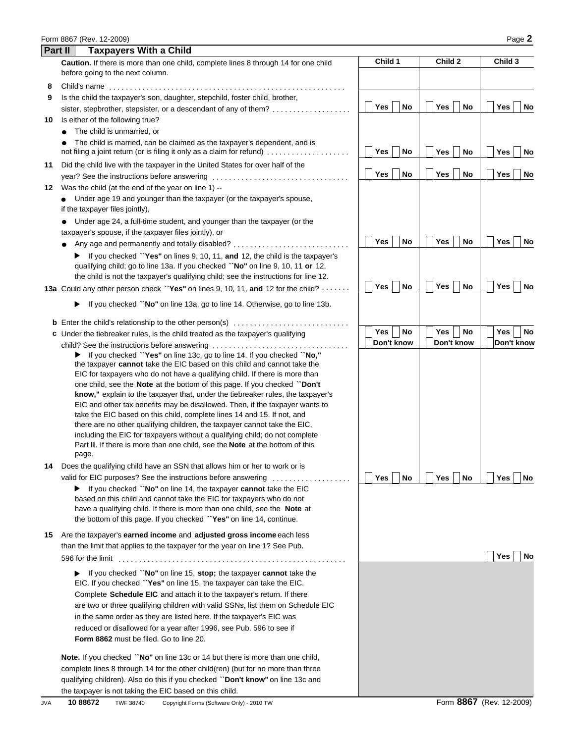|         | Form 8867 (Rev. 12-2009)<br>Page 2                                                                                                                                                                                                                                                                                          |                                |                                  |                  |  |  |  |
|---------|-----------------------------------------------------------------------------------------------------------------------------------------------------------------------------------------------------------------------------------------------------------------------------------------------------------------------------|--------------------------------|----------------------------------|------------------|--|--|--|
| Part II | <b>Taxpayers With a Child</b>                                                                                                                                                                                                                                                                                               |                                |                                  |                  |  |  |  |
|         | Caution. If there is more than one child, complete lines 8 through 14 for one child<br>before going to the next column.                                                                                                                                                                                                     | Child 1                        | Child 2                          | Child 3          |  |  |  |
| 8       |                                                                                                                                                                                                                                                                                                                             |                                |                                  |                  |  |  |  |
| 9       | Is the child the taxpayer's son, daughter, stepchild, foster child, brother,                                                                                                                                                                                                                                                |                                |                                  |                  |  |  |  |
|         | sister, stepbrother, stepsister, or a descendant of any of them?                                                                                                                                                                                                                                                            | Yes<br><b>No</b>               | <b>Yes</b><br><b>No</b>          | Yes<br>No        |  |  |  |
| 10      | Is either of the following true?                                                                                                                                                                                                                                                                                            |                                |                                  |                  |  |  |  |
|         | The child is unmarried, or<br>The child is married, can be claimed as the taxpayer's dependent, and is                                                                                                                                                                                                                      |                                |                                  |                  |  |  |  |
|         | not filing a joint return (or is filing it only as a claim for refund)                                                                                                                                                                                                                                                      | <b>Yes</b><br><b>No</b>        | Yes  <br>No                      | Yes<br>No        |  |  |  |
| 11      | Did the child live with the taxpayer in the United States for over half of the                                                                                                                                                                                                                                              | Yes<br><b>No</b>               | <b>No</b><br><b>Yes</b>          | Yes<br>No        |  |  |  |
|         |                                                                                                                                                                                                                                                                                                                             |                                |                                  |                  |  |  |  |
| 12      | Was the child (at the end of the year on line 1) --<br>Under age 19 and younger than the taxpayer (or the taxpayer's spouse,                                                                                                                                                                                                |                                |                                  |                  |  |  |  |
|         | if the taxpayer files jointly),                                                                                                                                                                                                                                                                                             |                                |                                  |                  |  |  |  |
|         | Under age 24, a full-time student, and younger than the taxpayer (or the                                                                                                                                                                                                                                                    |                                |                                  |                  |  |  |  |
|         | taxpayer's spouse, if the taxpayer files jointly), or                                                                                                                                                                                                                                                                       |                                |                                  |                  |  |  |  |
|         | Any age and permanently and totally disabled?                                                                                                                                                                                                                                                                               | <b>Yes</b><br><b>No</b>        | Yes  <br><b>No</b>               | Yes<br>No        |  |  |  |
|         | If you checked "Yes" on lines 9, 10, 11, and 12, the child is the taxpayer's                                                                                                                                                                                                                                                |                                |                                  |                  |  |  |  |
|         | qualifying child; go to line 13a. If you checked "No" on line 9, 10, 11 or 12,                                                                                                                                                                                                                                              |                                |                                  |                  |  |  |  |
|         | the child is not the taxpayer's qualifying child; see the instructions for line 12.                                                                                                                                                                                                                                         |                                |                                  |                  |  |  |  |
|         | <b>13a</b> Could any other person check "Yes" on lines 9, 10, 11, and 12 for the child? $\cdots$                                                                                                                                                                                                                            | <b>Yes</b><br><b>No</b>        | Yes  <br><b>No</b>               | Yes<br>No        |  |  |  |
|         | If you checked "No" on line 13a, go to line 14. Otherwise, go to line 13b.<br>▶                                                                                                                                                                                                                                             |                                |                                  |                  |  |  |  |
|         |                                                                                                                                                                                                                                                                                                                             |                                |                                  |                  |  |  |  |
|         | c Under the tiebreaker rules, is the child treated as the taxpayer's qualifying                                                                                                                                                                                                                                             | <b>No</b><br>Yes<br>Don't know | No<br>Yes  <br>- 1<br>Don't know | Yes<br>No        |  |  |  |
|         | child? See the instructions before answering<br>> If you checked "Yes" on line 13c, go to line 14. If you checked "No,"<br>the taxpayer cannot take the EIC based on this child and cannot take the                                                                                                                         |                                |                                  | Don't know       |  |  |  |
|         | EIC for taxpayers who do not have a qualifying child. If there is more than<br>one child, see the Note at the bottom of this page. If you checked "Don't<br>know," explain to the taxpayer that, under the tiebreaker rules, the taxpayer's<br>EIC and other tax benefits may be disallowed. Then, if the taxpayer wants to |                                |                                  |                  |  |  |  |
|         | take the EIC based on this child, complete lines 14 and 15. If not, and<br>there are no other qualifying children, the taxpayer cannot take the EIC,<br>including the EIC for taxpayers without a qualifying child; do not complete                                                                                         |                                |                                  |                  |  |  |  |
|         | Part III. If there is more than one child, see the <b>Note</b> at the bottom of this<br>page.                                                                                                                                                                                                                               |                                |                                  |                  |  |  |  |
|         | 14 Does the qualifying child have an SSN that allows him or her to work or is                                                                                                                                                                                                                                               |                                |                                  |                  |  |  |  |
|         | valid for EIC purposes? See the instructions before answering                                                                                                                                                                                                                                                               | <b>Yes</b><br>No               | Yes  <br>  No                    | Yes<br>No        |  |  |  |
|         | $\blacktriangleright$ If you checked "No" on line 14, the taxpayer cannot take the EIC<br>based on this child and cannot take the EIC for taxpayers who do not                                                                                                                                                              |                                |                                  |                  |  |  |  |
|         | have a qualifying child. If there is more than one child, see the Note at<br>the bottom of this page. If you checked "Yes" on line 14, continue.                                                                                                                                                                            |                                |                                  |                  |  |  |  |
| 15.     | Are the taxpayer's earned income and adjusted gross income each less<br>than the limit that applies to the taxpayer for the year on line 1? See Pub.                                                                                                                                                                        |                                |                                  |                  |  |  |  |
|         | 596 for the limit                                                                                                                                                                                                                                                                                                           |                                |                                  | Yes<br><b>No</b> |  |  |  |
|         | If you checked "No" on line 15, stop; the taxpayer cannot take the<br>EIC. If you checked "Yes" on line 15, the taxpayer can take the EIC.                                                                                                                                                                                  |                                |                                  |                  |  |  |  |
|         | Complete Schedule EIC and attach it to the taxpayer's return. If there                                                                                                                                                                                                                                                      |                                |                                  |                  |  |  |  |
|         | are two or three qualifying children with valid SSNs, list them on Schedule EIC                                                                                                                                                                                                                                             |                                |                                  |                  |  |  |  |
|         | in the same order as they are listed here. If the taxpayer's EIC was                                                                                                                                                                                                                                                        |                                |                                  |                  |  |  |  |
|         | reduced or disallowed for a year after 1996, see Pub. 596 to see if                                                                                                                                                                                                                                                         |                                |                                  |                  |  |  |  |
|         | <b>Form 8862</b> must be filed. Go to line 20.                                                                                                                                                                                                                                                                              |                                |                                  |                  |  |  |  |
|         | <b>Note.</b> If you checked "No" on line 13c or 14 but there is more than one child,                                                                                                                                                                                                                                        |                                |                                  |                  |  |  |  |
|         | complete lines 8 through 14 for the other child(ren) (but for no more than three                                                                                                                                                                                                                                            |                                |                                  |                  |  |  |  |
|         | qualifying children). Also do this if you checked "Don't know" on line 13c and                                                                                                                                                                                                                                              |                                |                                  |                  |  |  |  |
|         | the taxpayer is not taking the EIC based on this child.                                                                                                                                                                                                                                                                     |                                |                                  |                  |  |  |  |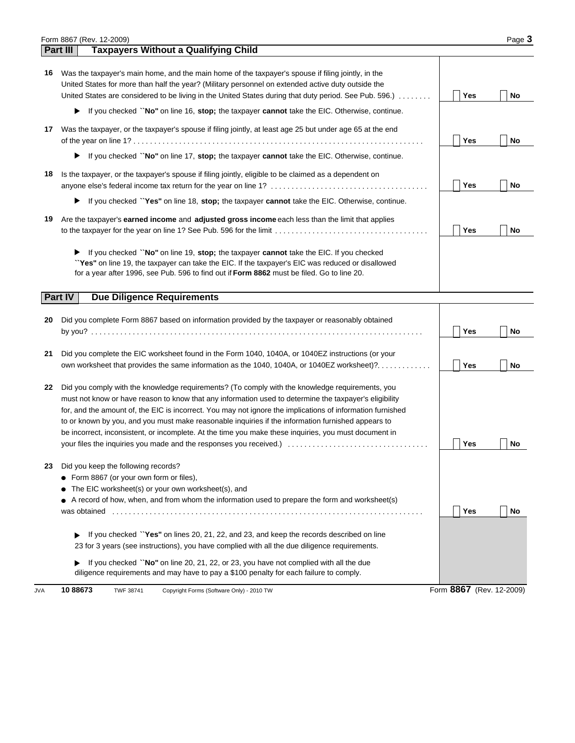|    | Form 8867 (Rev. 12-2009)                                                                                                                                                                                                                                                                                                                                                                                                                                                                                                               |            | Page 3    |
|----|----------------------------------------------------------------------------------------------------------------------------------------------------------------------------------------------------------------------------------------------------------------------------------------------------------------------------------------------------------------------------------------------------------------------------------------------------------------------------------------------------------------------------------------|------------|-----------|
|    | <b>Taxpayers Without a Qualifying Child</b><br>Part III                                                                                                                                                                                                                                                                                                                                                                                                                                                                                |            |           |
|    | 16 Was the taxpayer's main home, and the main home of the taxpayer's spouse if filing jointly, in the<br>United States for more than half the year? (Military personnel on extended active duty outside the<br>United States are considered to be living in the United States during that duty period. See Pub. 596.)                                                                                                                                                                                                                  | Yes        | <b>No</b> |
|    | If you checked "No" on line 16, stop; the taxpayer cannot take the EIC. Otherwise, continue.                                                                                                                                                                                                                                                                                                                                                                                                                                           |            |           |
|    | 17 Was the taxpayer, or the taxpayer's spouse if filing jointly, at least age 25 but under age 65 at the end                                                                                                                                                                                                                                                                                                                                                                                                                           | Yes        | <b>No</b> |
|    | If you checked "No" on line 17, stop; the taxpayer cannot take the EIC. Otherwise, continue.                                                                                                                                                                                                                                                                                                                                                                                                                                           |            |           |
| 18 | Is the taxpayer, or the taxpayer's spouse if filing jointly, eligible to be claimed as a dependent on                                                                                                                                                                                                                                                                                                                                                                                                                                  | Yes        | <b>No</b> |
|    | If you checked "Yes" on line 18, stop; the taxpayer cannot take the EIC. Otherwise, continue.                                                                                                                                                                                                                                                                                                                                                                                                                                          |            |           |
| 19 | Are the taxpayer's earned income and adjusted gross income each less than the limit that applies                                                                                                                                                                                                                                                                                                                                                                                                                                       | Yes        | <b>No</b> |
|    | If you checked "No" on line 19, stop; the taxpayer cannot take the EIC. If you checked<br>"Yes" on line 19, the taxpayer can take the EIC. If the taxpayer's EIC was reduced or disallowed<br>for a year after 1996, see Pub. 596 to find out if Form 8862 must be filed. Go to line 20.                                                                                                                                                                                                                                               |            |           |
|    | <b>Due Diligence Requirements</b><br><b>Part IV</b>                                                                                                                                                                                                                                                                                                                                                                                                                                                                                    |            |           |
| 20 | Did you complete Form 8867 based on information provided by the taxpayer or reasonably obtained                                                                                                                                                                                                                                                                                                                                                                                                                                        | Yes        | No        |
| 21 | Did you complete the EIC worksheet found in the Form 1040, 1040A, or 1040EZ instructions (or your<br>own worksheet that provides the same information as the 1040, 1040A, or 1040EZ worksheet)?                                                                                                                                                                                                                                                                                                                                        | <b>Yes</b> | No        |
| 22 | Did you comply with the knowledge requirements? (To comply with the knowledge requirements, you<br>must not know or have reason to know that any information used to determine the taxpayer's eligibility<br>for, and the amount of, the EIC is incorrect. You may not ignore the implications of information furnished<br>to or known by you, and you must make reasonable inquiries if the information furnished appears to<br>be incorrect, inconsistent, or incomplete. At the time you make these inquiries, you must document in | Yes        | No        |
| 23 | Did you keep the following records?<br>Form 8867 (or your own form or files),<br>The EIC worksheet(s) or your own worksheet(s), and<br>A record of how, when, and from whom the information used to prepare the form and worksheet(s)<br>was obtained                                                                                                                                                                                                                                                                                  | Yes        | No        |
|    | If you checked "Yes" on lines 20, 21, 22, and 23, and keep the records described on line<br>23 for 3 years (see instructions), you have complied with all the due diligence requirements.                                                                                                                                                                                                                                                                                                                                              |            |           |
|    | If you checked "No" on line 20, 21, 22, or 23, you have not complied with all the due<br>diligence requirements and may have to pay a \$100 penalty for each failure to comply.                                                                                                                                                                                                                                                                                                                                                        |            |           |

JVA 10 88673 TWF 38741 Copyright Forms (Software Only) - 2010 TW **10 88673**

Form (Rev. 12-2009) **8867**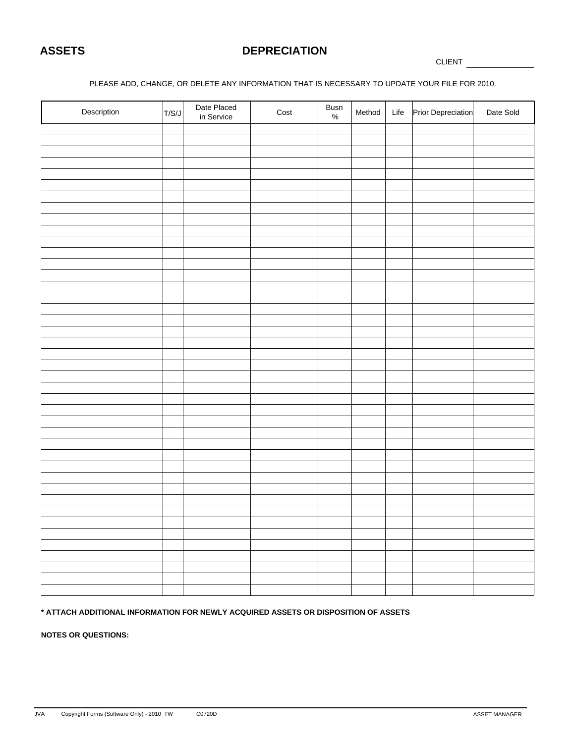# **ASSETS DEPRECIATION**

CLIENT

#### PLEASE ADD, CHANGE, OR DELETE ANY INFORMATION THAT IS NECESSARY TO UPDATE YOUR FILE FOR 2010.

| Description | T/S/J | Date Placed<br>in Service | Cost | Busn $\frac{9}{6}$ | Method | Life | Prior Depreciation | Date Sold |
|-------------|-------|---------------------------|------|--------------------|--------|------|--------------------|-----------|
|             |       |                           |      |                    |        |      |                    |           |
|             |       |                           |      |                    |        |      |                    |           |
|             |       |                           |      |                    |        |      |                    |           |
|             |       |                           |      |                    |        |      |                    |           |
|             |       |                           |      |                    |        |      |                    |           |
|             |       |                           |      |                    |        |      |                    |           |
|             |       |                           |      |                    |        |      |                    |           |
|             |       |                           |      |                    |        |      |                    |           |
|             |       |                           |      |                    |        |      |                    |           |
|             |       |                           |      |                    |        |      |                    |           |
|             |       |                           |      |                    |        |      |                    |           |
|             |       |                           |      |                    |        |      |                    |           |
|             |       |                           |      |                    |        |      |                    |           |
|             |       |                           |      |                    |        |      |                    |           |
|             |       |                           |      |                    |        |      |                    |           |
|             |       |                           |      |                    |        |      |                    |           |
|             |       |                           |      |                    |        |      |                    |           |
|             |       |                           |      |                    |        |      |                    |           |
|             |       |                           |      |                    |        |      |                    |           |
|             |       |                           |      |                    |        |      |                    |           |
|             |       |                           |      |                    |        |      |                    |           |
|             |       |                           |      |                    |        |      |                    |           |
|             |       |                           |      |                    |        |      |                    |           |
|             |       |                           |      |                    |        |      |                    |           |
|             |       |                           |      |                    |        |      |                    |           |
|             |       |                           |      |                    |        |      |                    |           |
|             |       |                           |      |                    |        |      |                    |           |
|             |       |                           |      |                    |        |      |                    |           |
|             |       |                           |      |                    |        |      |                    |           |
|             |       |                           |      |                    |        |      |                    |           |
|             |       |                           |      |                    |        |      |                    |           |
|             |       |                           |      |                    |        |      |                    |           |
|             |       |                           |      |                    |        |      |                    |           |
|             |       |                           |      |                    |        |      |                    |           |
|             |       |                           |      |                    |        |      |                    |           |
|             |       |                           |      |                    |        |      |                    |           |
|             |       |                           |      |                    |        |      |                    |           |
|             |       |                           |      |                    |        |      |                    |           |
|             |       |                           |      |                    |        |      |                    |           |
|             |       |                           |      |                    |        |      |                    |           |

#### **\* ATTACH ADDITIONAL INFORMATION FOR NEWLY ACQUIRED ASSETS OR DISPOSITION OF ASSETS**